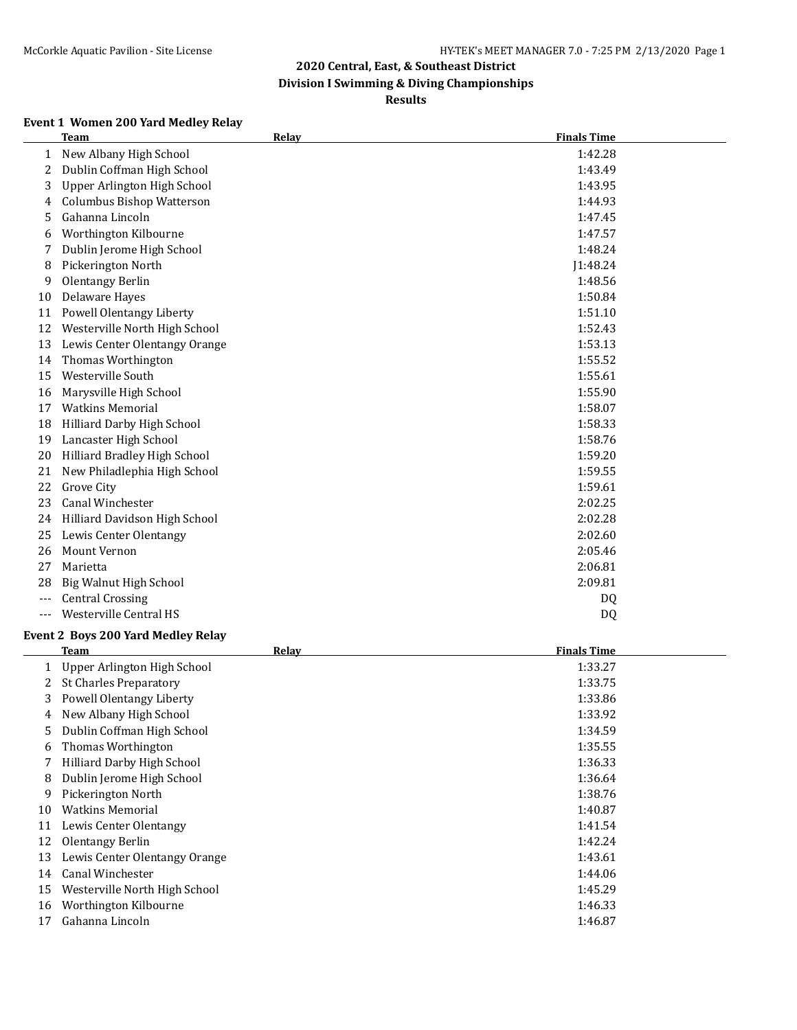**Division I Swimming & Diving Championships**

**Results**

## **Event 1 Women 200 Yard Medley Relay**

|     | <b>Team</b>                               | <b>Relay</b> | <b>Finals Time</b> |
|-----|-------------------------------------------|--------------|--------------------|
| 1   | New Albany High School                    |              | 1:42.28            |
| 2   | Dublin Coffman High School                |              | 1:43.49            |
| 3   | Upper Arlington High School               |              | 1:43.95            |
| 4   | <b>Columbus Bishop Watterson</b>          |              | 1:44.93            |
| 5   | Gahanna Lincoln                           |              | 1:47.45            |
| 6   | Worthington Kilbourne                     |              | 1:47.57            |
| 7   | Dublin Jerome High School                 |              | 1:48.24            |
| 8   | Pickerington North                        |              | J1:48.24           |
| 9   | Olentangy Berlin                          |              | 1:48.56            |
| 10  | <b>Delaware Hayes</b>                     |              | 1:50.84            |
| 11  | Powell Olentangy Liberty                  |              | 1:51.10            |
| 12  | Westerville North High School             |              | 1:52.43            |
| 13  | Lewis Center Olentangy Orange             |              | 1:53.13            |
| 14  | Thomas Worthington                        |              | 1:55.52            |
| 15  | Westerville South                         |              | 1:55.61            |
| 16  | Marysville High School                    |              | 1:55.90            |
| 17  | <b>Watkins Memorial</b>                   |              | 1:58.07            |
| 18  | Hilliard Darby High School                |              | 1:58.33            |
| 19  | Lancaster High School                     |              | 1:58.76            |
| 20  | Hilliard Bradley High School              |              | 1:59.20            |
| 21  | New Philadlephia High School              |              | 1:59.55            |
| 22  | Grove City                                |              | 1:59.61            |
| 23  | Canal Winchester                          |              | 2:02.25            |
| 24  | Hilliard Davidson High School             |              | 2:02.28            |
| 25  | Lewis Center Olentangy                    |              | 2:02.60            |
| 26  | <b>Mount Vernon</b>                       |              | 2:05.46            |
| 27  | Marietta                                  |              | 2:06.81            |
| 28  | Big Walnut High School                    |              | 2:09.81            |
| --- | <b>Central Crossing</b>                   |              | DQ                 |
| --- | Westerville Central HS                    |              | <b>DQ</b>          |
|     | <b>Event 2 Boys 200 Yard Medley Relay</b> |              |                    |
|     | <b>Team</b>                               | Relay        | <b>Finals Time</b> |
|     | 1 Upper Arlington High School             |              | 1:33.27            |
|     | 2 Ct Charles Dreparateur                  |              | 1.22.7             |

|    | Upper Arlington High School   | 1:33.27 |
|----|-------------------------------|---------|
| 2. | <b>St Charles Preparatory</b> | 1:33.75 |
| 3. | Powell Olentangy Liberty      | 1:33.86 |
| 4  | New Albany High School        | 1:33.92 |
| 5. | Dublin Coffman High School    | 1:34.59 |
| 6  | Thomas Worthington            | 1:35.55 |
|    | Hilliard Darby High School    | 1:36.33 |
| 8  | Dublin Jerome High School     | 1:36.64 |
| 9  | Pickerington North            | 1:38.76 |
| 10 | <b>Watkins Memorial</b>       | 1:40.87 |
| 11 | Lewis Center Olentangy        | 1:41.54 |
| 12 | Olentangy Berlin              | 1:42.24 |
| 13 | Lewis Center Olentangy Orange | 1:43.61 |
| 14 | Canal Winchester              | 1:44.06 |
| 15 | Westerville North High School | 1:45.29 |
| 16 | Worthington Kilbourne         | 1:46.33 |
| 17 | Gahanna Lincoln               | 1:46.87 |
|    |                               |         |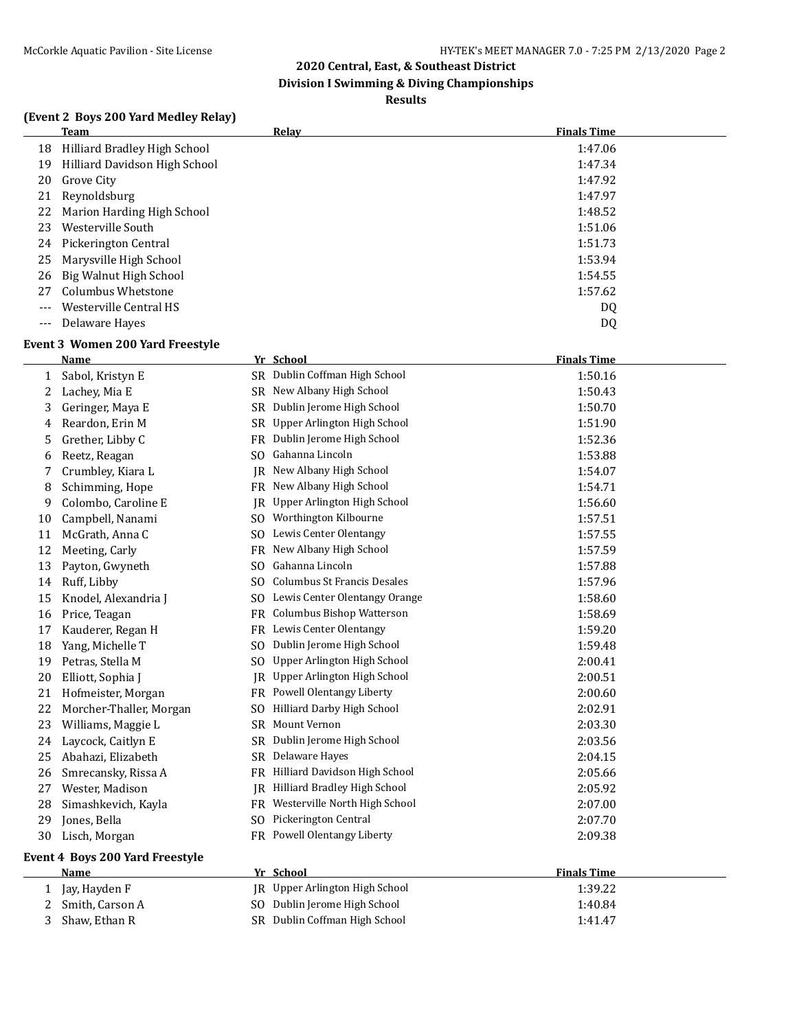**Division I Swimming & Diving Championships**

#### **Results**

## **(Event 2 Boys 200 Yard Medley Relay)**

|       | Team                          | <b>Relav</b> | <b>Finals Time</b> |
|-------|-------------------------------|--------------|--------------------|
| 18    | Hilliard Bradley High School  |              | 1:47.06            |
| 19    | Hilliard Davidson High School |              | 1:47.34            |
| 20    | Grove City                    |              | 1:47.92            |
| 21    | Reynoldsburg                  |              | 1:47.97            |
| 22    | Marion Harding High School    |              | 1:48.52            |
| 23    | Westerville South             |              | 1:51.06            |
| 24    | Pickerington Central          |              | 1:51.73            |
| 25    | Marysville High School        |              | 1:53.94            |
| 26    | Big Walnut High School        |              | 1:54.55            |
| 27    | <b>Columbus Whetstone</b>     |              | 1:57.62            |
| $---$ | Westerville Central HS        |              | DQ                 |
| $---$ | Delaware Hayes                |              | DQ                 |

## **Event 3 Women 200 Yard Freestyle**

|    | Name                            |           | Yr School                          | <b>Finals Time</b> |
|----|---------------------------------|-----------|------------------------------------|--------------------|
| 1  | Sabol, Kristyn E                |           | SR Dublin Coffman High School      | 1:50.16            |
| 2  | Lachey, Mia E                   |           | SR New Albany High School          | 1:50.43            |
| 3  | Geringer, Maya E                | SR        | Dublin Jerome High School          | 1:50.70            |
| 4  | Reardon, Erin M                 | SR        | Upper Arlington High School        | 1:51.90            |
| 5  | Grether, Libby C                | FR        | Dublin Jerome High School          | 1:52.36            |
| 6  | Reetz, Reagan                   | SO.       | Gahanna Lincoln                    | 1:53.88            |
| 7  | Crumbley, Kiara L               | JR        | New Albany High School             | 1:54.07            |
| 8  | Schimming, Hope                 | <b>FR</b> | New Albany High School             | 1:54.71            |
| 9  | Colombo, Caroline E             | IR        | Upper Arlington High School        | 1:56.60            |
| 10 | Campbell, Nanami                | SO.       | Worthington Kilbourne              | 1:57.51            |
| 11 | McGrath, Anna C                 | SO.       | Lewis Center Olentangy             | 1:57.55            |
| 12 | Meeting, Carly                  | FR        | New Albany High School             | 1:57.59            |
| 13 | Payton, Gwyneth                 | SO.       | Gahanna Lincoln                    | 1:57.88            |
| 14 | Ruff, Libby                     | SO.       | <b>Columbus St Francis Desales</b> | 1:57.96            |
| 15 | Knodel, Alexandria J            | SO.       | Lewis Center Olentangy Orange      | 1:58.60            |
| 16 | Price, Teagan                   |           | FR Columbus Bishop Watterson       | 1:58.69            |
| 17 | Kauderer, Regan H               |           | FR Lewis Center Olentangy          | 1:59.20            |
| 18 | Yang, Michelle T                | SO.       | Dublin Jerome High School          | 1:59.48            |
| 19 | Petras, Stella M                | SO.       | Upper Arlington High School        | 2:00.41            |
| 20 | Elliott, Sophia J               | IR        | Upper Arlington High School        | 2:00.51            |
| 21 | Hofmeister, Morgan              |           | FR Powell Olentangy Liberty        | 2:00.60            |
| 22 | Morcher-Thaller, Morgan         | SO.       | Hilliard Darby High School         | 2:02.91            |
| 23 | Williams, Maggie L              | SR        | <b>Mount Vernon</b>                | 2:03.30            |
| 24 | Laycock, Caitlyn E              | <b>SR</b> | Dublin Jerome High School          | 2:03.56            |
| 25 | Abahazi, Elizabeth              | SR        | Delaware Hayes                     | 2:04.15            |
| 26 | Smrecansky, Rissa A             | <b>FR</b> | Hilliard Davidson High School      | 2:05.66            |
| 27 | Wester, Madison                 |           | JR Hilliard Bradley High School    | 2:05.92            |
| 28 | Simashkevich, Kayla             | FR        | Westerville North High School      | 2:07.00            |
| 29 | Jones, Bella                    | SO.       | Pickerington Central               | 2:07.70            |
| 30 | Lisch, Morgan                   | FR        | Powell Olentangy Liberty           | 2:09.38            |
|    | Event 4 Boys 200 Yard Freestyle |           |                                    |                    |
|    | Name                            |           | Yr School                          | <b>Finals Time</b> |
| 1  | Jay, Hayden F                   |           | JR Upper Arlington High School     | 1:39.22            |
| 2  | Smith, Carson A                 |           | SO Dublin Jerome High School       | 1:40.84            |
| 3  | Shaw, Ethan R                   |           | SR Dublin Coffman High School      | 1:41.47            |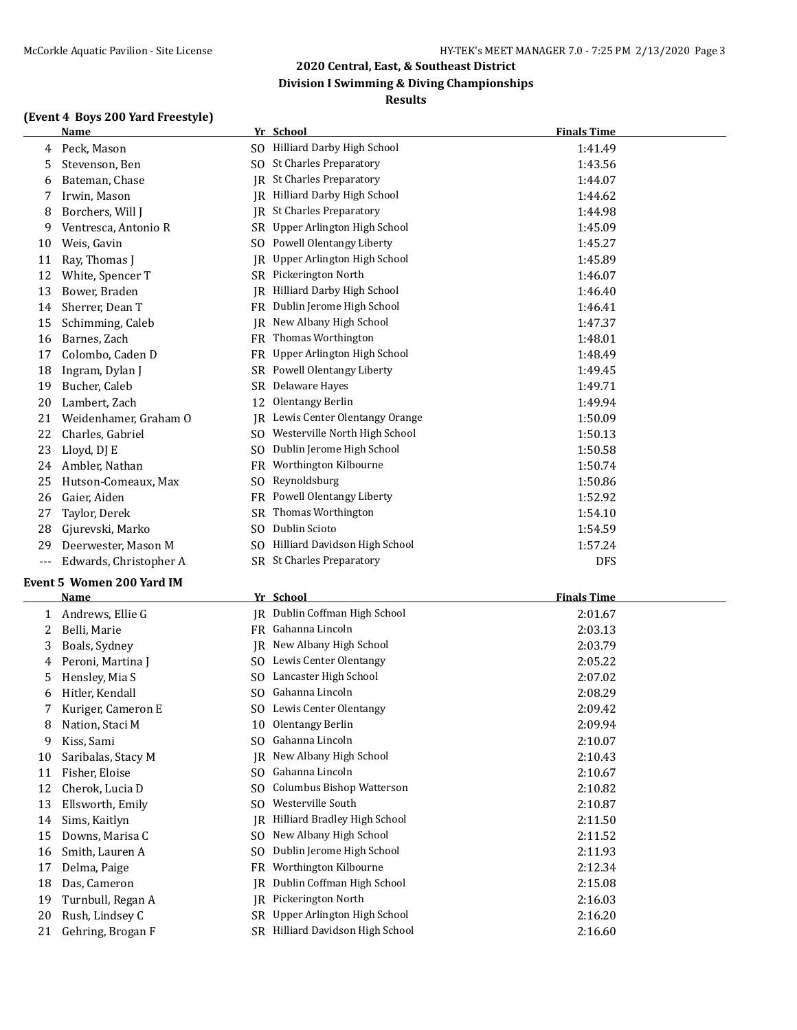#### **(Event 4 Boys 200 Yard Freestyle)**

## **Name Yr School Finals Time** 4 Peck, Mason SO Hilliard Darby High School 1:41.49 5 Stevenson, Ben SO St Charles Preparatory 6 1:43.56 6 Bateman, Chase  $\vert R \vert$  St Charles Preparatory 1:44.07 7 Irwin, Mason **IR** Hilliard Darby High School 1:44.62 8 Borchers, Will J JR St Charles Preparatory 1:44.98 9 Ventresca, Antonio R SR Upper Arlington High School 1:45.09 10 Weis, Gavin SO Powell Olentangy Liberty 1:45.27 11 Ray, Thomas J JR Upper Arlington High School 1:45.89 12 White, Spencer T SR Pickerington North 1:46.07 13 Bower, Braden JR Hilliard Darby High School 1:46.40 14 Sherrer, Dean T FR Dublin Jerome High School 1:46.41 15 Schimming, Caleb JR New Albany High School 1:47.37 16 Barnes, Zach **FR** Thomas Worthington **1:48.01** 17 Colombo, Caden D FR Upper Arlington High School 1:48.49 18 Ingram, Dylan J SR Powell Olentangy Liberty 1:49.45 19 Bucher, Caleb SR Delaware Hayes 1:49.71 20 Lambert, Zach 12 Olentangy Berlin 1:49.94 21 Weidenhamer, Graham O JR Lewis Center Olentangy Orange 1:50.09 22 Charles, Gabriel SO Westerville North High School 1:50.13 23 Lloyd, DJ E SO Dublin Jerome High School 1:50.58 24 Ambler, Nathan **FR** Worthington Kilbourne 1:50.74 25 Hutson-Comeaux, Max SO Reynoldsburg 1:50.86 26 Gaier, Aiden **FR** Powell Olentangy Liberty **1:52.92** 1:52.92 27 Taylor, Derek SR Thomas Worthington 1:54.10

**2020 Central, East, & Southeast District Division I Swimming & Diving Championships Results**

- 28 Gjurevski, Marko SO Dublin Scioto 1:54.59
- 29 Deerwester, Mason M SO Hilliard Davidson High School 1:57.24
- --- Edwards, Christopher A SR St Charles Preparatory Charles Present Charles Present Charles Preparatory DFS

#### **Event 5 Women 200 Yard IM**

|    | <b>Name</b>        |     | Yr School                        | <b>Finals Time</b> |
|----|--------------------|-----|----------------------------------|--------------------|
| 1  | Andrews, Ellie G   |     | IR Dublin Coffman High School    | 2:01.67            |
| 2. | Belli, Marie       |     | FR Gahanna Lincoln               | 2:03.13            |
| 3  | Boals, Sydney      |     | JR New Albany High School        | 2:03.79            |
| 4  | Peroni, Martina J  | SO. | Lewis Center Olentangy           | 2:05.22            |
| 5. | Hensley, Mia S     | SO. | Lancaster High School            | 2:07.02            |
| 6  | Hitler, Kendall    | SO. | Gahanna Lincoln                  | 2:08.29            |
|    | Kuriger, Cameron E | SO. | Lewis Center Olentangy           | 2:09.42            |
| 8  | Nation, Staci M    | 10  | Olentangy Berlin                 | 2:09.94            |
| 9  | Kiss, Sami         | SO. | Gahanna Lincoln                  | 2:10.07            |
| 10 | Saribalas, Stacy M |     | IR New Albany High School        | 2:10.43            |
| 11 | Fisher, Eloise     | SO. | Gahanna Lincoln                  | 2:10.67            |
| 12 | Cherok, Lucia D    | SO. | <b>Columbus Bishop Watterson</b> | 2:10.82            |
| 13 | Ellsworth, Emily   | SO. | Westerville South                | 2:10.87            |
| 14 | Sims, Kaitlyn      | IR  | Hilliard Bradley High School     | 2:11.50            |
| 15 | Downs, Marisa C    | SO. | New Albany High School           | 2:11.52            |
| 16 | Smith, Lauren A    | SO. | Dublin Jerome High School        | 2:11.93            |
| 17 | Delma, Paige       | FR  | Worthington Kilbourne            | 2:12.34            |
| 18 | Das, Cameron       | IR  | Dublin Coffman High School       | 2:15.08            |
| 19 | Turnbull, Regan A  |     | IR Pickerington North            | 2:16.03            |
| 20 | Rush, Lindsey C    |     | SR Upper Arlington High School   | 2:16.20            |
| 21 | Gehring, Brogan F  |     | SR Hilliard Davidson High School | 2:16.60            |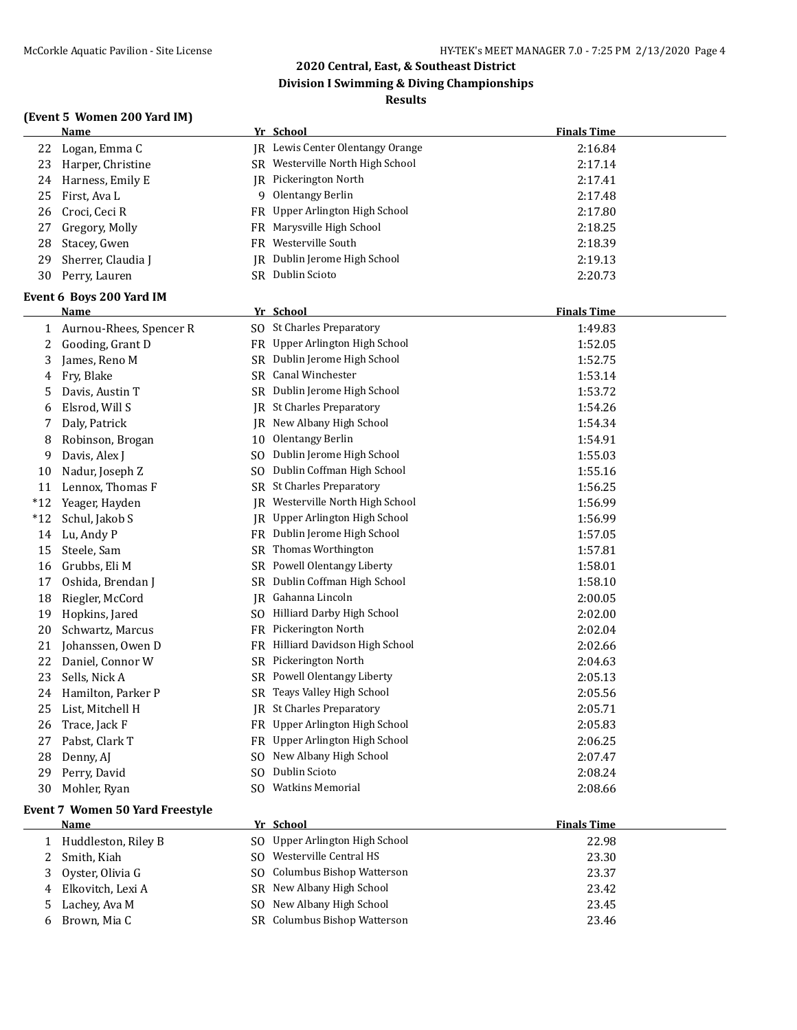**Division I Swimming & Diving Championships**

#### **Results**

| (Event 5 Women 200 Yard IM) |  |  |  |  |
|-----------------------------|--|--|--|--|
|-----------------------------|--|--|--|--|

|       | <b>Name</b>                            |     | Yr School                               | <b>Finals Time</b> |
|-------|----------------------------------------|-----|-----------------------------------------|--------------------|
| 22    | Logan, Emma C                          |     | <b>IR</b> Lewis Center Olentangy Orange | 2:16.84            |
| 23    | Harper, Christine                      |     | SR Westerville North High School        | 2:17.14            |
| 24    | Harness, Emily E                       |     | JR Pickerington North                   | 2:17.41            |
| 25    | First, Ava L                           |     | 9 Olentangy Berlin                      | 2:17.48            |
| 26    | Croci, Ceci R                          |     | FR Upper Arlington High School          | 2:17.80            |
| 27    | Gregory, Molly                         |     | FR Marysville High School               | 2:18.25            |
| 28    | Stacey, Gwen                           |     | FR Westerville South                    | 2:18.39            |
| 29    | Sherrer, Claudia J                     |     | IR Dublin Jerome High School            | 2:19.13            |
| 30    | Perry, Lauren                          |     | SR Dublin Scioto                        | 2:20.73            |
|       | Event 6 Boys 200 Yard IM               |     |                                         |                    |
|       | <u>Name</u>                            |     | Yr School                               | <b>Finals Time</b> |
|       | 1 Aurnou-Rhees, Spencer R              |     | SO St Charles Preparatory               | 1:49.83            |
| 2     | Gooding, Grant D                       |     | FR Upper Arlington High School          | 1:52.05            |
| 3     | James, Reno M                          |     | SR Dublin Jerome High School            | 1:52.75            |
| 4     | Fry, Blake                             |     | SR Canal Winchester                     | 1:53.14            |
| 5     | Davis, Austin T                        |     | SR Dublin Jerome High School            | 1:53.72            |
| 6     | Elsrod, Will S                         |     | <b>IR</b> St Charles Preparatory        | 1:54.26            |
| 7     | Daly, Patrick                          |     | JR New Albany High School               | 1:54.34            |
| 8     | Robinson, Brogan                       |     | 10 Olentangy Berlin                     | 1:54.91            |
| 9     | Davis, Alex J                          |     | SO Dublin Jerome High School            | 1:55.03            |
| 10    | Nadur, Joseph Z                        |     | SO Dublin Coffman High School           | 1:55.16            |
| 11    | Lennox, Thomas F                       |     | SR St Charles Preparatory               | 1:56.25            |
| $*12$ | Yeager, Hayden                         | IR  | Westerville North High School           | 1:56.99            |
| $*12$ | Schul, Jakob S                         |     | JR Upper Arlington High School          | 1:56.99            |
| 14    | Lu, Andy P                             |     | FR Dublin Jerome High School            | 1:57.05            |
| 15    | Steele, Sam                            |     | SR Thomas Worthington                   | 1:57.81            |
| 16    | Grubbs, Eli M                          |     | SR Powell Olentangy Liberty             | 1:58.01            |
| 17    | Oshida, Brendan J                      |     | SR Dublin Coffman High School           | 1:58.10            |
| 18    | Riegler, McCord                        |     | <b>JR</b> Gahanna Lincoln               | 2:00.05            |
| 19    | Hopkins, Jared                         |     | SO Hilliard Darby High School           | 2:02.00            |
| 20    | Schwartz, Marcus                       |     | FR Pickerington North                   | 2:02.04            |
| 21    | Johanssen, Owen D                      |     | FR Hilliard Davidson High School        | 2:02.66            |
| 22    | Daniel, Connor W                       |     | SR Pickerington North                   | 2:04.63            |
| 23    | Sells, Nick A                          |     | SR Powell Olentangy Liberty             | 2:05.13            |
| 24    | Hamilton, Parker P                     |     | SR Teays Valley High School             | 2:05.56            |
| 25    | List, Mitchell H                       |     | JR St Charles Preparatory               | 2:05.71            |
| 26    | Trace, Jack F                          |     | FR Upper Arlington High School          | 2:05.83            |
| 27    | Pabst, Clark T                         |     | FR Upper Arlington High School          | 2:06.25            |
| 28    | Denny, AJ                              |     | SO New Albany High School               | 2:07.47            |
| 29    | Perry, David                           | SO. | Dublin Scioto                           | 2:08.24            |
| 30    | Mohler, Ryan                           |     | SO Watkins Memorial                     | 2:08.66            |
|       | <b>Event 7 Women 50 Yard Freestyle</b> |     |                                         |                    |
|       | <b>Name</b>                            |     | Yr School                               | <b>Finals Time</b> |
| 1     | Huddleston, Riley B                    |     | SO Upper Arlington High School          | 22.98              |
| 2     | Smith, Kiah                            |     | SO Westerville Central HS               | 23.30              |
| 3     | Oyster, Olivia G                       | SO. | Columbus Bishop Watterson               | 23.37              |
| 4     | Elkovitch, Lexi A                      |     | SR New Albany High School               | 23.42              |
| 5     | Lachey, Ava M                          |     | SO New Albany High School               | 23.45              |
| 6     | Brown, Mia C                           |     | SR Columbus Bishop Watterson            | 23.46              |
|       |                                        |     |                                         |                    |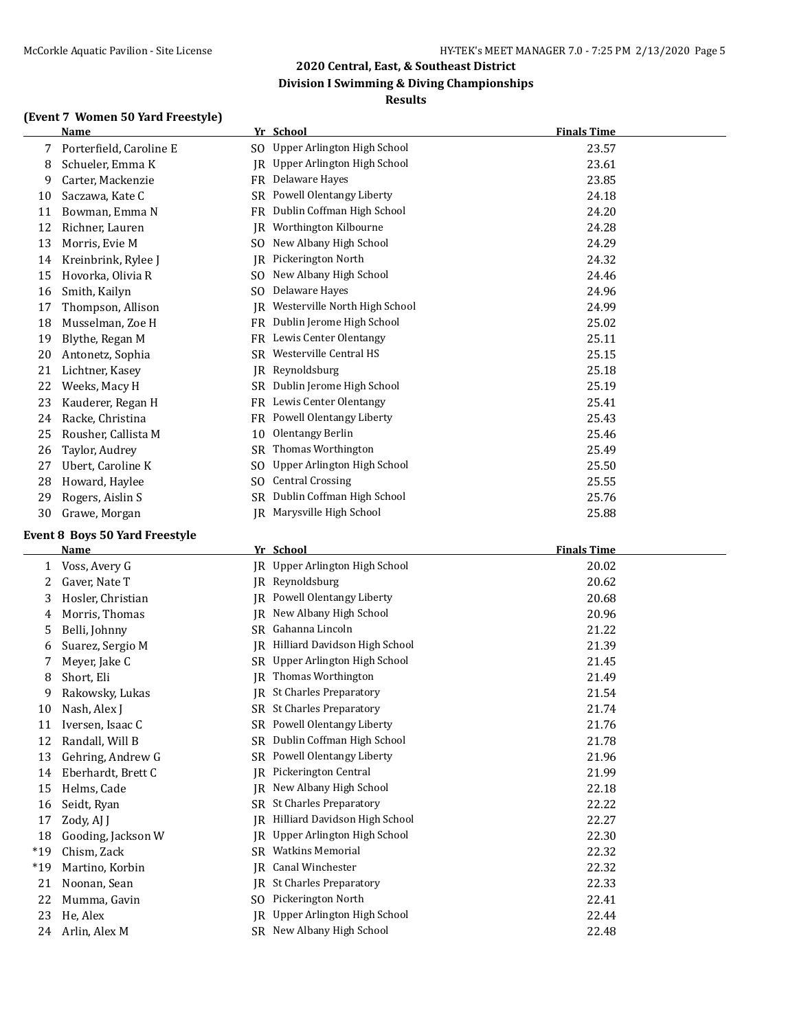#### **Division I Swimming & Diving Championships**

#### **Results**

#### **(Event 7 Women 50 Yard Freestyle)**

|          | <b>Name</b>                       |     | Yr School                        | <b>Finals Time</b> |
|----------|-----------------------------------|-----|----------------------------------|--------------------|
| 7        | Porterfield, Caroline E           |     | SO Upper Arlington High School   | 23.57              |
| 8        | Schueler, Emma K                  |     | JR Upper Arlington High School   | 23.61              |
| 9        | Carter, Mackenzie                 |     | FR Delaware Hayes                | 23.85              |
| 10       | Saczawa, Kate C                   | SR  | Powell Olentangy Liberty         | 24.18              |
| 11       | Bowman, Emma N                    | FR  | Dublin Coffman High School       | 24.20              |
| 12       | Richner, Lauren                   | IR  | Worthington Kilbourne            | 24.28              |
| 13       | Morris, Evie M                    | SO. | New Albany High School           | 24.29              |
| 14       | Kreinbrink, Rylee J               | IR  | Pickerington North               | 24.32              |
| 15       | Hovorka, Olivia R                 | SO  | New Albany High School           | 24.46              |
| 16       | Smith, Kailyn                     | SO. | Delaware Hayes                   | 24.96              |
| 17       | Thompson, Allison                 | IR  | Westerville North High School    | 24.99              |
| 18       | Musselman, Zoe H                  | FR  | Dublin Jerome High School        | 25.02              |
| 19       | Blythe, Regan M                   |     | FR Lewis Center Olentangy        | 25.11              |
| 20       | Antonetz, Sophia                  | SR  | Westerville Central HS           | 25.15              |
| 21       | Lichtner, Kasey                   | IR  | Reynoldsburg                     | 25.18              |
| 22       | Weeks, Macy H                     |     | SR Dublin Jerome High School     | 25.19              |
| 23       | Kauderer, Regan H                 |     | FR Lewis Center Olentangy        | 25.41              |
| 24       | Racke, Christina                  |     | FR Powell Olentangy Liberty      | 25.43              |
| 25       | Rousher, Callista M               | 10  | <b>Olentangy Berlin</b>          | 25.46              |
| 26       | Taylor, Audrey                    | SR  | Thomas Worthington               | 25.49              |
| 27       | Ubert, Caroline K                 | SO. | Upper Arlington High School      | 25.50              |
| 28       | Howard, Haylee                    | SO. | <b>Central Crossing</b>          | 25.55              |
| 29       | Rogers, Aislin S                  | SR  | Dublin Coffman High School       | 25.76              |
|          |                                   |     |                                  |                    |
|          |                                   |     |                                  |                    |
| 30       | Grawe, Morgan                     |     | JR Marysville High School        | 25.88              |
|          | Event 8 Boys 50 Yard Freestyle    |     |                                  |                    |
|          | <u>Name</u>                       |     | Yr School                        | <b>Finals Time</b> |
| 1        | Voss, Avery G                     |     | JR Upper Arlington High School   | 20.02              |
| 2        | Gaver, Nate T                     | IR  | Reynoldsburg                     | 20.62              |
| 3        | Hosler, Christian                 | IR  | Powell Olentangy Liberty         | 20.68              |
| 4        | Morris, Thomas                    |     | JR New Albany High School        | 20.96              |
| 5        | Belli, Johnny                     |     | SR Gahanna Lincoln               | 21.22              |
| 6        | Suarez, Sergio M                  | IR  | Hilliard Davidson High School    | 21.39              |
| 7        | Meyer, Jake C                     |     | SR Upper Arlington High School   | 21.45              |
| 8        | Short, Eli                        | IR  | Thomas Worthington               | 21.49              |
| 9        | Rakowsky, Lukas                   |     | JR St Charles Preparatory        | 21.54              |
| 10       | Nash, Alex J                      |     | SR St Charles Preparatory        | 21.74              |
| 11       | Iversen, Isaac C                  |     | SR Powell Olentangy Liberty      | 21.76              |
| 12       | Randall, Will B                   |     | SR Dublin Coffman High School    | 21.78              |
| 13       | Gehring, Andrew G                 |     | SR Powell Olentangy Liberty      | 21.96              |
| 14       | Eberhardt, Brett C                | IR  | Pickerington Central             | 21.99              |
| 15       |                                   |     | JR New Albany High School        | 22.18              |
| 16       | Helms, Cade                       |     | SR St Charles Preparatory        |                    |
|          | Seidt, Ryan                       |     | JR Hilliard Davidson High School | 22.22              |
| 17<br>18 | Zody, AJ J                        | IR  | Upper Arlington High School      | 22.27<br>22.30     |
| $*19$    | Gooding, Jackson W<br>Chism, Zack | SR  | <b>Watkins Memorial</b>          | 22.32              |
| $*19$    | Martino, Korbin                   | IR  | Canal Winchester                 | 22.32              |
| 21       |                                   |     | <b>IR</b> St Charles Preparatory |                    |
| 22       | Noonan, Sean<br>Mumma, Gavin      |     | SO Pickerington North            | 22.33<br>22.41     |

24 Arlin, Alex M SR New Albany High School 22.48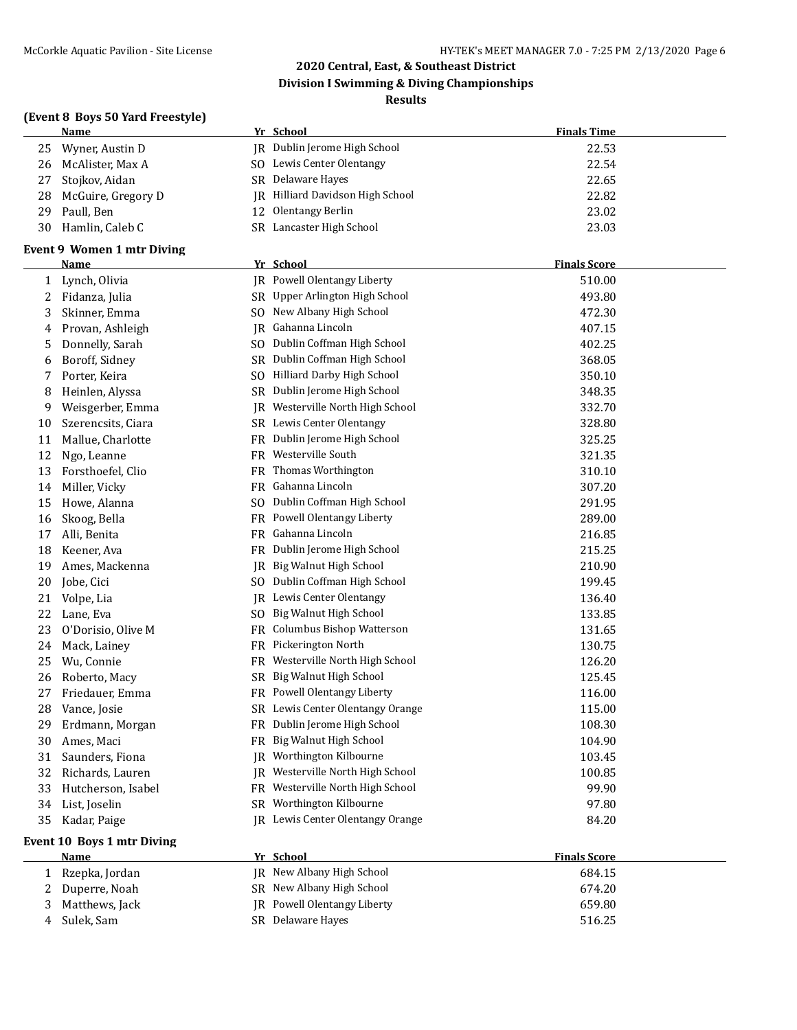#### **(Event 8 Boys 50 Yard Freestyle)**

## **Name Yr School Finals Time** 25 Wyner, Austin D JR Dublin Jerome High School 22.53 26 McAlister, Max A SO Lewis Center Olentangy 22.54 27 Stojkov, Aidan SR Delaware Hayes 22.65 28 McGuire, Gregory D JR Hilliard Davidson High School 22.82 29 Paull, Ben 12 Olentangy Berlin 23.02 30 Hamlin, Caleb C SR Lancaster High School 23.03 **Event 9 Women 1 mtr Diving Name Yr School Finals Score** 1 Lynch, Olivia **JR** Powell Olentangy Liberty **1 Lynch**, Olivia 510.00 2 Fidanza, Julia SR Upper Arlington High School 493.80 3 Skinner, Emma SO New Albany High School 472.30 4 Provan, Ashleigh JR Gahanna Lincoln **1986** Communication and 407.15 5 Donnelly, Sarah SO Dublin Coffman High School 402.25 6 Boroff, Sidney SR Dublin Coffman High School 368.05 7 Porter, Keira  $SO$  Hilliard Darby High School 350.10 8 Heinlen, Alyssa SR Dublin Jerome High School 348.35 9 Weisgerber, Emma JR Westerville North High School 332.70 10 Szerencsits, Ciara SR Lewis Center Olentangy 328.80 11 Mallue, Charlotte FR Dublin Jerome High School 325.25 12 Ngo, Leanne FR Westerville South 321.35 13 Forsthoefel, Clio FR Thomas Worthington 310.10 14 Miller, Vicky FR Gahanna Lincoln 307.20 15 Howe, Alanna SO Dublin Coffman High School 291.95 16 Skoog, Bella FR Powell Olentangy Liberty 289.00 17 Alli, Benita **FR Gahanna Lincoln FR Gahanna Lincoln** 216.85 18 Keener, Ava **FR** Dublin Jerome High School 215.25 19 Ames, Mackenna **IR** Big Walnut High School 210.90 20 Jobe, Cici SO Dublin Coffman High School 199.45 21 Volpe, Lia 136.40 IR Lewis Center Olentangy 136.40 22 Lane, Eva Sollars Sollars Sollars Sollars Sollars Sollars Sollars Sollars Sollars Sollars Sollars Sollars S 23 O'Dorisio, Olive M FR Columbus Bishop Watterson 131.65 24 Mack, Lainey FR Pickerington North 130.75 25 Wu, Connie FR Westerville North High School 126.20 26 Roberto, Macy SR Big Walnut High School 125.45 27 Friedauer, Emma FR Powell Olentangy Liberty 116.00 28 Vance, Josie SR Lewis Center Olentangy Orange 3115.00 29 Erdmann, Morgan FR Dublin Jerome High School 108.30 30 Ames, Maci **FR Big Walnut High School** 104.90 31 Saunders, Fiona JR Worthington Kilbourne 103.45 32 Richards, Lauren JR Westerville North High School 100.85 33 Hutcherson, Isabel FR Westerville North High School 99.90 34 List, Joselin SR Worthington Kilbourne 37.80 35 Kadar, Paige **IR Lewis Center Olentangy Orange** 84.20 **Event 10 Boys 1 mtr Diving Name Yr School Finals Score** 1 Rzepka, Jordan JR New Albany High School 684.15 2 Duperre, Noah SR New Albany High School 674.20

3 Matthews, Jack JR Powell Olentangy Liberty 659.80 4 Sulek, Sam SR Delaware Hayes 516.25

**2020 Central, East, & Southeast District Division I Swimming & Diving Championships Results**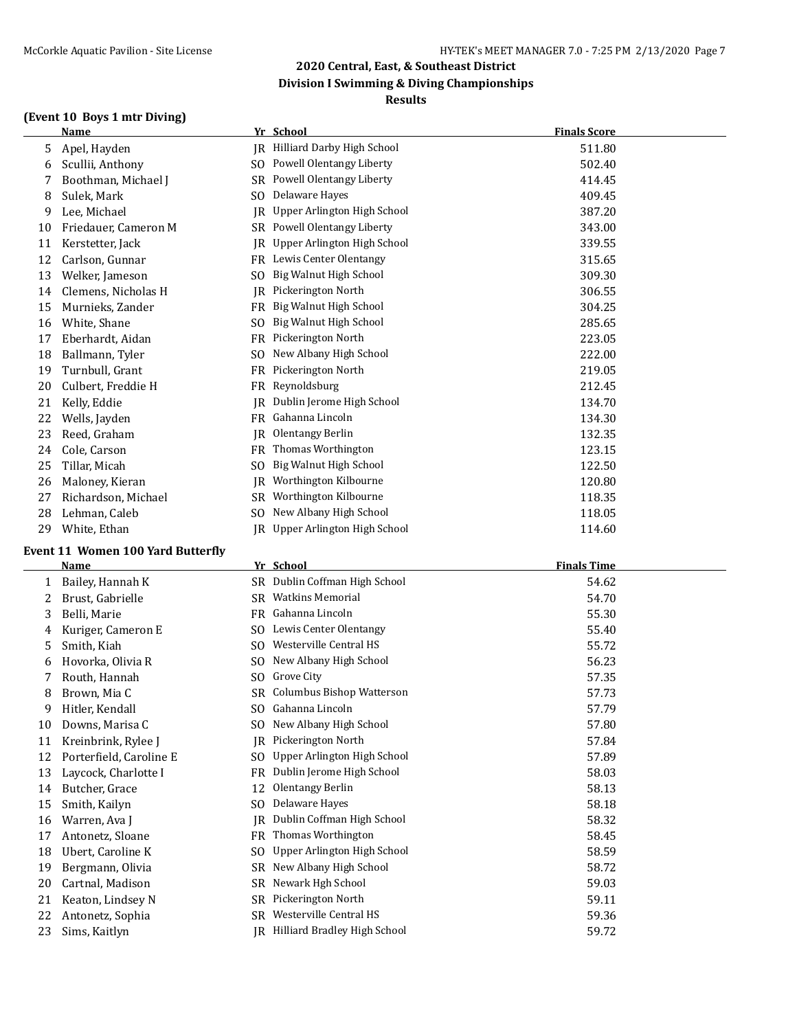#### **(Event 10 Boys 1 mtr Diving)**

## **Name Yr School Finals Score** 5 Apel, Hayden **JR** Hilliard Darby High School 511.80 6 Scullii, Anthony SO Powell Olentangy Liberty 502.40 7 Boothman, Michael J SR Powell Olentangy Liberty **314.45** 8 Sulek, Mark SO Delaware Hayes 409.45 9 Lee, Michael **JR** Upper Arlington High School 387.20 10 Friedauer, Cameron M SR Powell Olentangy Liberty 343.00 11 Kerstetter, Jack **JR Upper Arlington High School** 339.55 12 Carlson, Gunnar FR Lewis Center Olentangy 315.65 13 Welker, Jameson SO Big Walnut High School 309.30 14 Clemens, Nicholas H JR Pickerington North 306.55 15 Murnieks, Zander FR Big Walnut High School 304.25 16 White, Shane SO Big Walnut High School 285.65 17 Eberhardt, Aidan FR Pickerington North 223.05 18 Ballmann, Tyler SO New Albany High School 222.00 19 Turnbull, Grant FR Pickerington North 219.05 20 Culbert, Freddie H FR Reynoldsburg 212.45 21 Kelly, Eddie **JR** Dublin Jerome High School 134.70 22 Wells, Jayden **FR** Gahanna Lincoln **FRGahanna** Lincoln 134.30 23 Reed, Graham JR Olentangy Berlin 132.35 24 Cole, Carson **FR** Thomas Worthington **123.15** 25 Tillar, Micah SO Big Walnut High School 122.50 26 Maloney, Kieran **IR** Worthington Kilbourne 120.80 27 Richardson, Michael SR Worthington Kilbourne 118.35 28 Lehman, Caleb SO New Albany High School 118.05

IR Upper Arlington High School 114.60

**2020 Central, East, & Southeast District Division I Swimming & Diving Championships Results**

| -- |              |  |
|----|--------------|--|
| 29 | White, Ethan |  |

## **Event 11 Women 100 Yard Butterfly**

|    | <b>Name</b>             |           | Yr School                           | <b>Finals Time</b> |
|----|-------------------------|-----------|-------------------------------------|--------------------|
|    | Bailey, Hannah K        |           | SR Dublin Coffman High School       | 54.62              |
| 2  | Brust, Gabrielle        | SR        | <b>Watkins Memorial</b>             | 54.70              |
| 3  | Belli, Marie            | FR        | Gahanna Lincoln                     | 55.30              |
| 4  | Kuriger, Cameron E      | SO.       | Lewis Center Olentangy              | 55.40              |
|    | Smith, Kiah             | SO.       | Westerville Central HS              | 55.72              |
| 6  | Hovorka, Olivia R       | SO.       | New Albany High School              | 56.23              |
|    | Routh, Hannah           | SO.       | Grove City                          | 57.35              |
| 8  | Brown, Mia C            | SR        | Columbus Bishop Watterson           | 57.73              |
| 9  | Hitler, Kendall         | SO.       | Gahanna Lincoln                     | 57.79              |
| 10 | Downs, Marisa C         | SO.       | New Albany High School              | 57.80              |
| 11 | Kreinbrink, Rylee J     | <b>IR</b> | Pickerington North                  | 57.84              |
| 12 | Porterfield, Caroline E | SO.       | Upper Arlington High School         | 57.89              |
| 13 | Laycock, Charlotte I    | FR        | Dublin Jerome High School           | 58.03              |
| 14 | Butcher, Grace          | 12        | Olentangy Berlin                    | 58.13              |
| 15 | Smith, Kailyn           | SO.       | Delaware Hayes                      | 58.18              |
| 16 | Warren, Ava J           | IR        | Dublin Coffman High School          | 58.32              |
| 17 | Antonetz, Sloane        | FR        | Thomas Worthington                  | 58.45              |
| 18 | Ubert, Caroline K       | SO.       | Upper Arlington High School         | 58.59              |
| 19 | Bergmann, Olivia        | SR        | New Albany High School              | 58.72              |
| 20 | Cartnal, Madison        | SR        | Newark Hgh School                   | 59.03              |
| 21 | Keaton, Lindsey N       | SR        | Pickerington North                  | 59.11              |
| 22 | Antonetz, Sophia        | SR        | Westerville Central HS              | 59.36              |
| 23 | Sims, Kaitlyn           | IR        | <b>Hilliard Bradley High School</b> | 59.72              |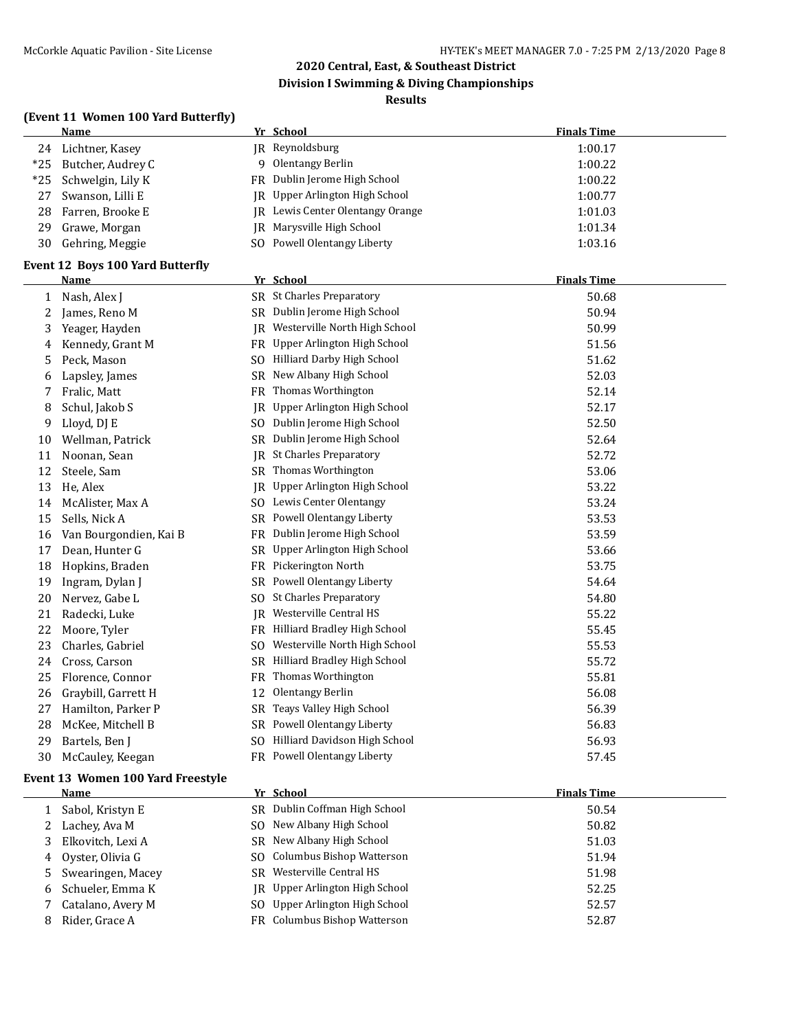**Division I Swimming & Diving Championships**

#### **Results**

## **(Event 11 Women 100 Yard Butterfly)**

|       | women too fara batterny                 |     |                                  |                    |
|-------|-----------------------------------------|-----|----------------------------------|--------------------|
|       | <b>Name</b>                             |     | Yr School                        | <b>Finals Time</b> |
| 24    | Lichtner, Kasey                         |     | JR Reynoldsburg                  | 1:00.17            |
| $*25$ | Butcher, Audrey C                       |     | 9 Olentangy Berlin               | 1:00.22            |
| *25   | Schwelgin, Lily K                       |     | FR Dublin Jerome High School     | 1:00.22            |
| 27    | Swanson, Lilli E                        |     | JR Upper Arlington High School   | 1:00.77            |
| 28    | Farren, Brooke E                        |     | JR Lewis Center Olentangy Orange | 1:01.03            |
| 29    | Grawe, Morgan                           |     | <b>IR</b> Marysville High School | 1:01.34            |
| 30    | Gehring, Meggie                         |     | SO Powell Olentangy Liberty      | 1:03.16            |
|       | <b>Event 12 Boys 100 Yard Butterfly</b> |     |                                  |                    |
|       | Name                                    |     | Yr School                        | <b>Finals Time</b> |
| 1     | Nash, Alex J                            |     | SR St Charles Preparatory        | 50.68              |
| 2     | James, Reno M                           |     | SR Dublin Jerome High School     | 50.94              |
| 3     | Yeager, Hayden                          |     | JR Westerville North High School | 50.99              |
| 4     | Kennedy, Grant M                        |     | FR Upper Arlington High School   | 51.56              |
| 5     | Peck, Mason                             |     | SO Hilliard Darby High School    | 51.62              |
| 6     | Lapsley, James                          |     | SR New Albany High School        | 52.03              |
| 7     | Fralic, Matt                            |     | FR Thomas Worthington            | 52.14              |
| 8     | Schul, Jakob S                          |     | JR Upper Arlington High School   | 52.17              |
| 9     | Lloyd, DJ E                             |     | SO Dublin Jerome High School     | 52.50              |
| 10    | Wellman, Patrick                        |     | SR Dublin Jerome High School     | 52.64              |
| 11    | Noonan, Sean                            |     | JR St Charles Preparatory        | 52.72              |
| 12    | Steele, Sam                             |     | SR Thomas Worthington            | 53.06              |
| 13    | He, Alex                                |     | JR Upper Arlington High School   | 53.22              |
| 14    | McAlister, Max A                        |     | SO Lewis Center Olentangy        | 53.24              |
| 15    | Sells, Nick A                           |     | SR Powell Olentangy Liberty      | 53.53              |
| 16    | Van Bourgondien, Kai B                  |     | FR Dublin Jerome High School     | 53.59              |
| 17    | Dean, Hunter G                          |     | SR Upper Arlington High School   | 53.66              |
| 18    | Hopkins, Braden                         |     | FR Pickerington North            | 53.75              |
| 19    | Ingram, Dylan J                         |     | SR Powell Olentangy Liberty      | 54.64              |
| 20    | Nervez, Gabe L                          |     | SO St Charles Preparatory        | 54.80              |
| 21    | Radecki, Luke                           |     | IR Westerville Central HS        | 55.22              |
| 22    | Moore, Tyler                            |     | FR Hilliard Bradley High School  | 55.45              |
| 23    | Charles, Gabriel                        | SO. | Westerville North High School    | 55.53              |
| 24    | Cross, Carson                           |     | SR Hilliard Bradley High School  | 55.72              |
| 25    | Florence, Connor                        | FR. | Thomas Worthington               | 55.81              |
| 26    | Graybill, Garrett H                     | 12  | <b>Olentangy Berlin</b>          | 56.08              |
| 27    | Hamilton, Parker P                      |     | SR Teays Valley High School      | 56.39              |
| 28    | McKee, Mitchell B                       |     | SR Powell Olentangy Liberty      | 56.83              |
| 29    | Bartels, Ben J                          |     | SO Hilliard Davidson High School | 56.93              |
| 30    | McCauley, Keegan                        |     | FR Powell Olentangy Liberty      | 57.45              |

#### **Event 13 Women 100 Yard Freestyle**

|    | Name                | Yr School                             | <b>Finals Time</b> |
|----|---------------------|---------------------------------------|--------------------|
|    | Sabol, Kristyn E    | SR Dublin Coffman High School         | 50.54              |
|    | Lachey, Ava M       | SO New Albany High School             | 50.82              |
| 3. | Elkovitch, Lexi A   | SR New Albany High School             | 51.03              |
|    | 4 Oyster, Olivia G  | SO Columbus Bishop Watterson          | 51.94              |
|    | 5 Swearingen, Macey | SR Westerville Central HS             | 51.98              |
|    | 6 Schueler, Emma K  | <b>IR</b> Upper Arlington High School | 52.25              |
|    | Catalano, Avery M   | SO Upper Arlington High School        | 52.57              |
|    | Rider, Grace A      | FR Columbus Bishop Watterson          | 52.87              |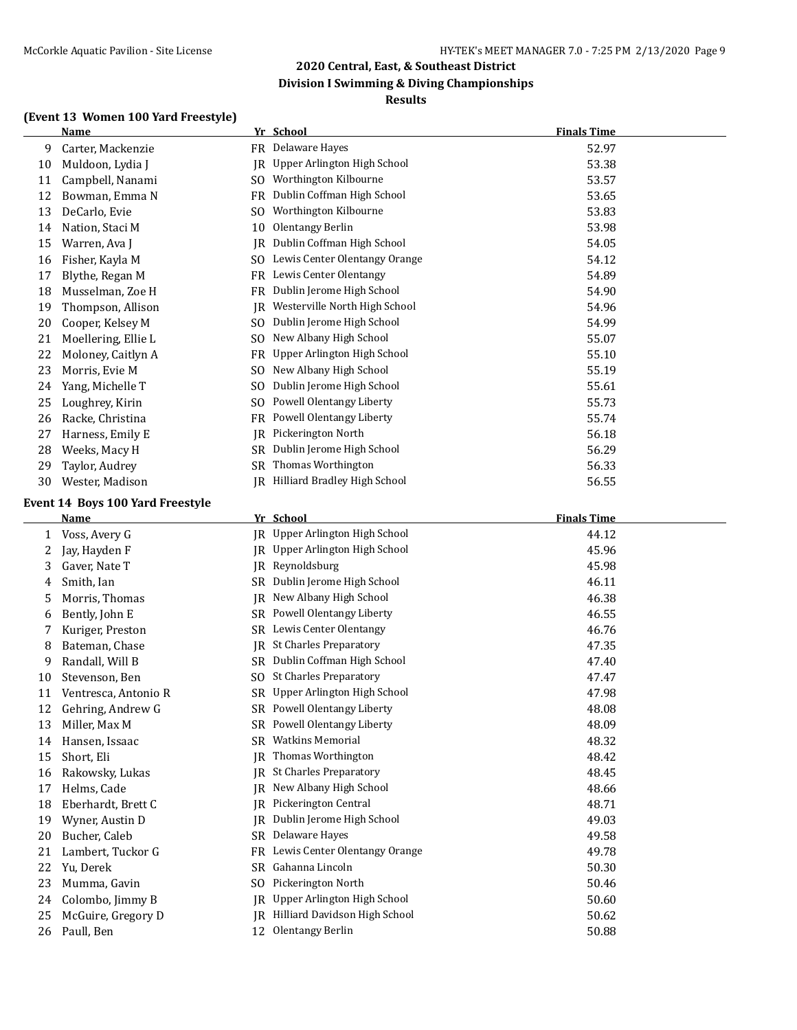## **Division I Swimming & Diving Championships**

#### **Results**

## **(Event 13 Women 100 Yard Freestyle)**

|    | <u>Name</u>         |                | Yr School                           | <b>Finals Time</b> |
|----|---------------------|----------------|-------------------------------------|--------------------|
| 9  | Carter, Mackenzie   | FR             | Delaware Hayes                      | 52.97              |
| 10 | Muldoon, Lydia J    | IR             | Upper Arlington High School         | 53.38              |
| 11 | Campbell, Nanami    | SO.            | Worthington Kilbourne               | 53.57              |
| 12 | Bowman, Emma N      | FR             | Dublin Coffman High School          | 53.65              |
| 13 | DeCarlo, Evie       | S <sub>O</sub> | Worthington Kilbourne               | 53.83              |
| 14 | Nation, Staci M     | 10             | Olentangy Berlin                    | 53.98              |
| 15 | Warren, Ava J       | IR             | Dublin Coffman High School          | 54.05              |
| 16 | Fisher, Kayla M     | SO.            | Lewis Center Olentangy Orange       | 54.12              |
| 17 | Blythe, Regan M     | FR             | Lewis Center Olentangy              | 54.89              |
| 18 | Musselman, Zoe H    | FR             | Dublin Jerome High School           | 54.90              |
| 19 | Thompson, Allison   | IR             | Westerville North High School       | 54.96              |
| 20 | Cooper, Kelsey M    | SO.            | Dublin Jerome High School           | 54.99              |
| 21 | Moellering, Ellie L | SO.            | New Albany High School              | 55.07              |
| 22 | Moloney, Caitlyn A  | FR             | Upper Arlington High School         | 55.10              |
| 23 | Morris, Evie M      | S <sub>O</sub> | New Albany High School              | 55.19              |
| 24 | Yang, Michelle T    | S <sub>O</sub> | Dublin Jerome High School           | 55.61              |
| 25 | Loughrey, Kirin     | SO.            | Powell Olentangy Liberty            | 55.73              |
| 26 | Racke, Christina    | FR             | <b>Powell Olentangy Liberty</b>     | 55.74              |
| 27 | Harness, Emily E    | JR             | Pickerington North                  | 56.18              |
| 28 | Weeks, Macy H       | SR             | Dublin Jerome High School           | 56.29              |
| 29 | Taylor, Audrey      | SR             | Thomas Worthington                  | 56.33              |
| 30 | Wester, Madison     | IR             | <b>Hilliard Bradley High School</b> | 56.55              |

#### **Event 14 Boys 100 Yard Freestyle**

|    | Name                 |                | Yr School                     | <b>Finals Time</b> |
|----|----------------------|----------------|-------------------------------|--------------------|
| 1  | Voss, Avery G        | IR.            | Upper Arlington High School   | 44.12              |
| 2  | Jay, Hayden F        | IR             | Upper Arlington High School   | 45.96              |
| 3  | Gaver, Nate T        | IR             | Reynoldsburg                  | 45.98              |
| 4  | Smith, Ian           | <b>SR</b>      | Dublin Jerome High School     | 46.11              |
| 5  | Morris, Thomas       | IR             | New Albany High School        | 46.38              |
| 6  | Bently, John E       | SR             | Powell Olentangy Liberty      | 46.55              |
|    | Kuriger, Preston     | SR             | Lewis Center Olentangy        | 46.76              |
| 8  | Bateman, Chase       | IR             | <b>St Charles Preparatory</b> | 47.35              |
| 9  | Randall, Will B      | SR             | Dublin Coffman High School    | 47.40              |
| 10 | Stevenson, Ben       | S <sub>O</sub> | <b>St Charles Preparatory</b> | 47.47              |
| 11 | Ventresca, Antonio R | <b>SR</b>      | Upper Arlington High School   | 47.98              |
| 12 | Gehring, Andrew G    | SR             | Powell Olentangy Liberty      | 48.08              |
| 13 | Miller, Max M        | <b>SR</b>      | Powell Olentangy Liberty      | 48.09              |
| 14 | Hansen, Issaac       | <b>SR</b>      | <b>Watkins Memorial</b>       | 48.32              |
| 15 | Short, Eli           | IR             | Thomas Worthington            | 48.42              |
| 16 | Rakowsky, Lukas      | IR             | <b>St Charles Preparatory</b> | 48.45              |
| 17 | Helms, Cade          | IR             | New Albany High School        | 48.66              |
| 18 | Eberhardt, Brett C   | IR             | Pickerington Central          | 48.71              |
| 19 | Wyner, Austin D      | IR             | Dublin Jerome High School     | 49.03              |
| 20 | Bucher, Caleb        | <b>SR</b>      | Delaware Hayes                | 49.58              |
| 21 | Lambert, Tuckor G    | <b>FR</b>      | Lewis Center Olentangy Orange | 49.78              |
| 22 | Yu, Derek            | <b>SR</b>      | Gahanna Lincoln               | 50.30              |
| 23 | Mumma, Gavin         | S <sub>O</sub> | Pickerington North            | 50.46              |
| 24 | Colombo, Jimmy B     | IR             | Upper Arlington High School   | 50.60              |
| 25 | McGuire, Gregory D   | IR             | Hilliard Davidson High School | 50.62              |
| 26 | Paull, Ben           | 12             | Olentangy Berlin              | 50.88              |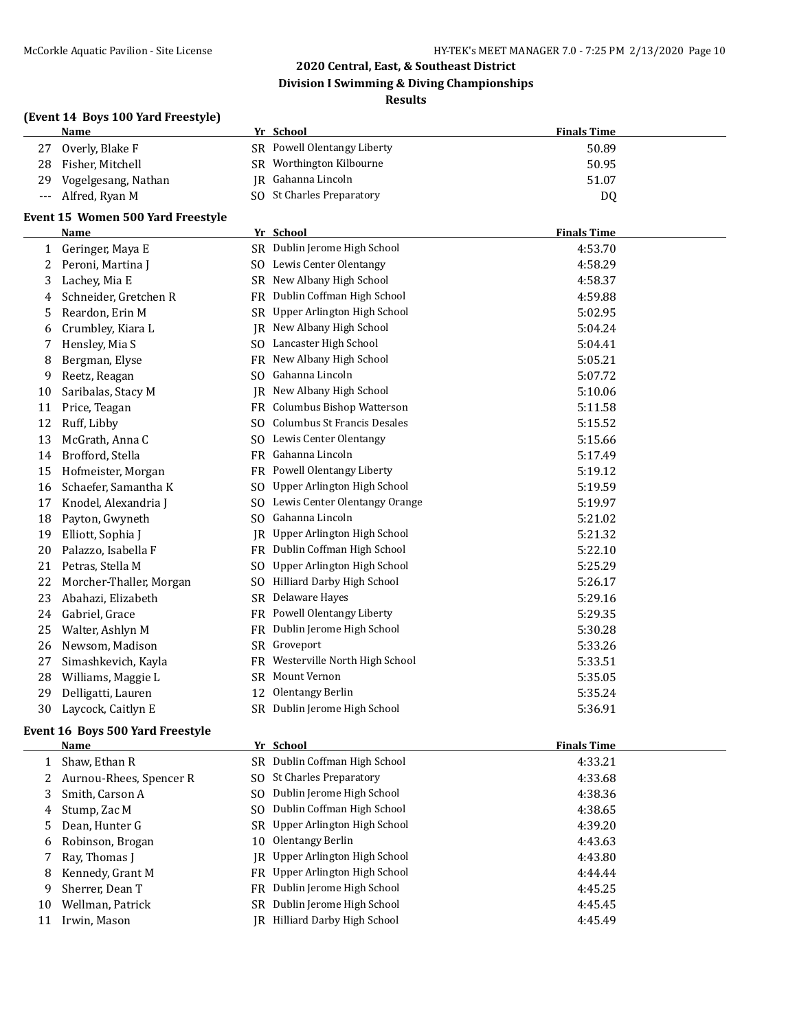**Division I Swimming & Diving Championships**

#### **Results**

|       | (Event 14 Boys 100 Yard Freestyle) |     |                                  |                    |  |  |
|-------|------------------------------------|-----|----------------------------------|--------------------|--|--|
|       | <u>Name</u>                        |     | Yr School                        | <b>Finals Time</b> |  |  |
| 27    | Overly, Blake F                    |     | SR Powell Olentangy Liberty      | 50.89              |  |  |
| 28    | Fisher, Mitchell                   |     | SR Worthington Kilbourne         | 50.95              |  |  |
| 29    | Vogelgesang, Nathan                |     | JR Gahanna Lincoln               | 51.07              |  |  |
| $---$ | Alfred, Ryan M                     |     | SO St Charles Preparatory        | DQ                 |  |  |
|       | Event 15 Women 500 Yard Freestyle  |     |                                  |                    |  |  |
|       | Name                               |     | Yr School                        | <b>Finals Time</b> |  |  |
| 1     | Geringer, Maya E                   |     | SR Dublin Jerome High School     | 4:53.70            |  |  |
| 2     | Peroni, Martina J                  |     | SO Lewis Center Olentangy        | 4:58.29            |  |  |
| 3     | Lachey, Mia E                      |     | SR New Albany High School        | 4:58.37            |  |  |
| 4     | Schneider, Gretchen R              |     | FR Dublin Coffman High School    | 4:59.88            |  |  |
| 5     | Reardon, Erin M                    |     | SR Upper Arlington High School   | 5:02.95            |  |  |
| 6     | Crumbley, Kiara L                  |     | JR New Albany High School        | 5:04.24            |  |  |
| 7     | Hensley, Mia S                     |     | SO Lancaster High School         | 5:04.41            |  |  |
| 8     | Bergman, Elyse                     |     | FR New Albany High School        | 5:05.21            |  |  |
| 9     | Reetz, Reagan                      | SO. | Gahanna Lincoln                  | 5:07.72            |  |  |
| 10    | Saribalas, Stacy M                 | JR  | New Albany High School           | 5:10.06            |  |  |
| 11    | Price, Teagan                      |     | FR Columbus Bishop Watterson     | 5:11.58            |  |  |
| 12    | Ruff, Libby                        |     | SO Columbus St Francis Desales   | 5:15.52            |  |  |
| 13    | McGrath, Anna C                    |     | SO Lewis Center Olentangy        | 5:15.66            |  |  |
| 14    | Brofford, Stella                   |     | FR Gahanna Lincoln               | 5:17.49            |  |  |
| 15    | Hofmeister, Morgan                 |     | FR Powell Olentangy Liberty      | 5:19.12            |  |  |
| 16    | Schaefer, Samantha K               | SO. | Upper Arlington High School      | 5:19.59            |  |  |
| 17    | Knodel, Alexandria J               |     | SO Lewis Center Olentangy Orange | 5:19.97            |  |  |
| 18    | Payton, Gwyneth                    |     | SO Gahanna Lincoln               | 5:21.02            |  |  |
| 19    | Elliott, Sophia J                  | IR  | Upper Arlington High School      | 5:21.32            |  |  |
| 20    | Palazzo, Isabella F                |     | FR Dublin Coffman High School    | 5:22.10            |  |  |
| 21    | Petras, Stella M                   | SO. | Upper Arlington High School      | 5:25.29            |  |  |
| 22    | Morcher-Thaller, Morgan            | SO. | Hilliard Darby High School       | 5:26.17            |  |  |
| 23    | Abahazi, Elizabeth                 | SR  | Delaware Hayes                   | 5:29.16            |  |  |
| 24    | Gabriel, Grace                     | FR  | Powell Olentangy Liberty         | 5:29.35            |  |  |
| 25    | Walter, Ashlyn M                   | FR  | Dublin Jerome High School        | 5:30.28            |  |  |
| 26    | Newsom, Madison                    |     | SR Groveport                     | 5:33.26            |  |  |
| 27    | Simashkevich, Kayla                | FR  | Westerville North High School    | 5:33.51            |  |  |
| 28    | Williams, Maggie L                 | SR  | Mount Vernon                     | 5:35.05            |  |  |
| 29    | Delligatti, Lauren                 | 12  | Olentangy Berlin                 | 5:35.24            |  |  |
| 30    | Laycock, Caitlyn E                 |     | SR Dublin Jerome High School     | 5:36.91            |  |  |
|       | -----                              |     |                                  |                    |  |  |

# **Event 16 Boys 500 Yard Freestyle**

|    | Name                      |     | Yr School                             | <b>Finals Time</b> |
|----|---------------------------|-----|---------------------------------------|--------------------|
|    | Shaw, Ethan R             |     | SR Dublin Coffman High School         | 4:33.21            |
|    | 2 Aurnou-Rhees, Spencer R |     | SO St Charles Preparatory             | 4:33.68            |
| 3  | Smith, Carson A           | SO. | Dublin Jerome High School             | 4:38.36            |
| 4  | Stump, Zac M              | SO. | Dublin Coffman High School            | 4:38.65            |
| 5  | Dean, Hunter G            |     | SR Upper Arlington High School        | 4:39.20            |
|    | 6 Robinson, Brogan        | 10  | Olentangy Berlin                      | 4:43.63            |
|    | Ray, Thomas I             |     | <b>IR</b> Upper Arlington High School | 4:43.80            |
| 8  | Kennedy, Grant M          |     | FR Upper Arlington High School        | 4:44.44            |
| 9  | Sherrer, Dean T           | FR  | Dublin Jerome High School             | 4:45.25            |
| 10 | Wellman, Patrick          | SR  | Dublin Jerome High School             | 4:45.45            |
| 11 | Irwin, Mason              | IR  | Hilliard Darby High School            | 4:45.49            |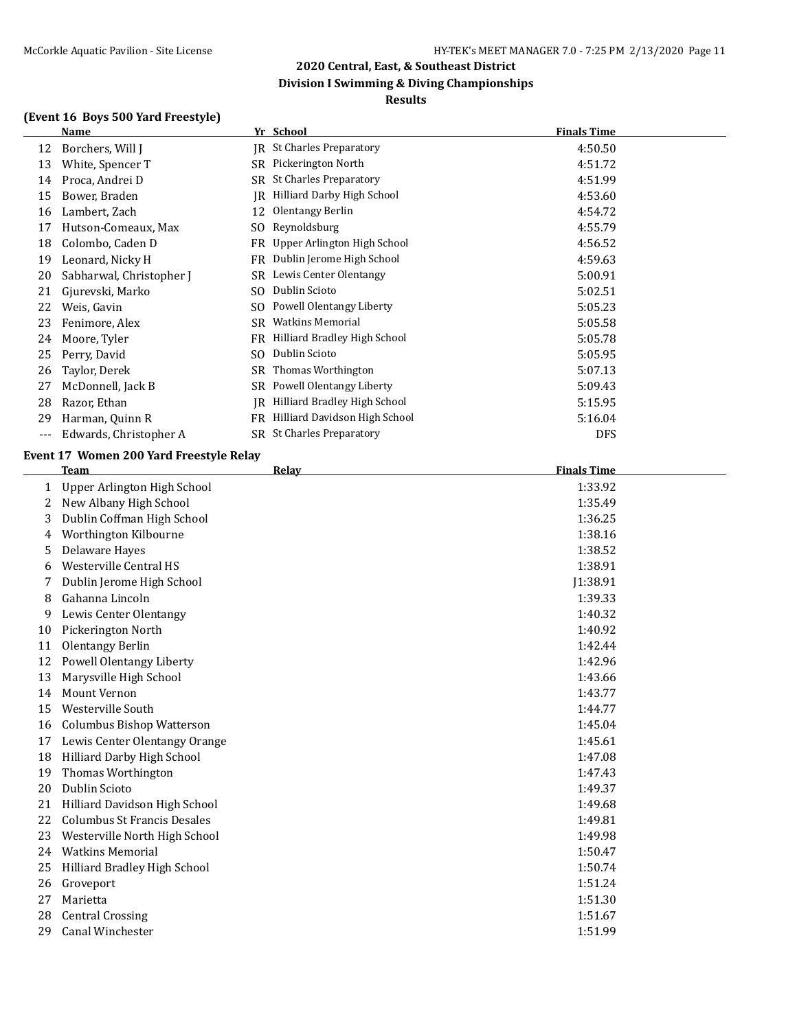## **Division I Swimming & Diving Championships**

## **Results**

## **(Event 16 Boys 500 Yard Freestyle)**

|     | Name                     |           | Yr School                         | <b>Finals Time</b> |
|-----|--------------------------|-----------|-----------------------------------|--------------------|
| 12  | Borchers, Will J         | IR        | <b>St Charles Preparatory</b>     | 4:50.50            |
| 13  | White, Spencer T         | SR        | Pickerington North                | 4:51.72            |
| 14  | Proca, Andrei D          | SR        | <b>St Charles Preparatory</b>     | 4:51.99            |
| 15  | Bower, Braden            | IR        | <b>Hilliard Darby High School</b> | 4:53.60            |
| 16  | Lambert, Zach            | 12        | Olentangy Berlin                  | 4:54.72            |
| 17  | Hutson-Comeaux, Max      | SO.       | Reynoldsburg                      | 4:55.79            |
| 18  | Colombo, Caden D         | FR        | Upper Arlington High School       | 4:56.52            |
| 19  | Leonard, Nicky H         | <b>FR</b> | Dublin Jerome High School         | 4:59.63            |
| 20  | Sabharwal, Christopher J | SR        | Lewis Center Olentangy            | 5:00.91            |
| 21  | Gjurevski, Marko         | SO.       | Dublin Scioto                     | 5:02.51            |
| 22  | Weis, Gavin              | SO        | Powell Olentangy Liberty          | 5:05.23            |
| 23  | Fenimore, Alex           | SR        | <b>Watkins Memorial</b>           | 5:05.58            |
| 24  | Moore, Tyler             | FR        | Hilliard Bradley High School      | 5:05.78            |
| 25  | Perry, David             | SO        | Dublin Scioto                     | 5:05.95            |
| 26  | Taylor, Derek            | SR        | Thomas Worthington                | 5:07.13            |
| 27  | McDonnell, Jack B        | SR        | Powell Olentangy Liberty          | 5:09.43            |
| 28  | Razor, Ethan             | IR        | Hilliard Bradley High School      | 5:15.95            |
| 29  | Harman, Quinn R          | FR        | Hilliard Davidson High School     | 5:16.04            |
| --- | Edwards, Christopher A   | SR        | <b>St Charles Preparatory</b>     | <b>DFS</b>         |

## **Event 17 Women 200 Yard Freestyle Relay**

|    | <b>Team</b>                        | Relay | <b>Finals Time</b> |
|----|------------------------------------|-------|--------------------|
| 1  | Upper Arlington High School        |       | 1:33.92            |
| 2  | New Albany High School             |       | 1:35.49            |
| 3  | Dublin Coffman High School         |       | 1:36.25            |
| 4  | Worthington Kilbourne              |       | 1:38.16            |
| 5  | Delaware Hayes                     |       | 1:38.52            |
| 6  | Westerville Central HS             |       | 1:38.91            |
| 7  | Dublin Jerome High School          |       | J1:38.91           |
| 8  | Gahanna Lincoln                    |       | 1:39.33            |
| 9  | Lewis Center Olentangy             |       | 1:40.32            |
| 10 | Pickerington North                 |       | 1:40.92            |
| 11 | <b>Olentangy Berlin</b>            |       | 1:42.44            |
| 12 | Powell Olentangy Liberty           |       | 1:42.96            |
| 13 | Marysville High School             |       | 1:43.66            |
| 14 | <b>Mount Vernon</b>                |       | 1:43.77            |
| 15 | Westerville South                  |       | 1:44.77            |
| 16 | <b>Columbus Bishop Watterson</b>   |       | 1:45.04            |
| 17 | Lewis Center Olentangy Orange      |       | 1:45.61            |
| 18 | Hilliard Darby High School         |       | 1:47.08            |
| 19 | Thomas Worthington                 |       | 1:47.43            |
| 20 | Dublin Scioto                      |       | 1:49.37            |
| 21 | Hilliard Davidson High School      |       | 1:49.68            |
| 22 | <b>Columbus St Francis Desales</b> |       | 1:49.81            |
| 23 | Westerville North High School      |       | 1:49.98            |
| 24 | <b>Watkins Memorial</b>            |       | 1:50.47            |
| 25 | Hilliard Bradley High School       |       | 1:50.74            |
| 26 | Groveport                          |       | 1:51.24            |
| 27 | Marietta                           |       | 1:51.30            |
| 28 | <b>Central Crossing</b>            |       | 1:51.67            |
| 29 | Canal Winchester                   |       | 1:51.99            |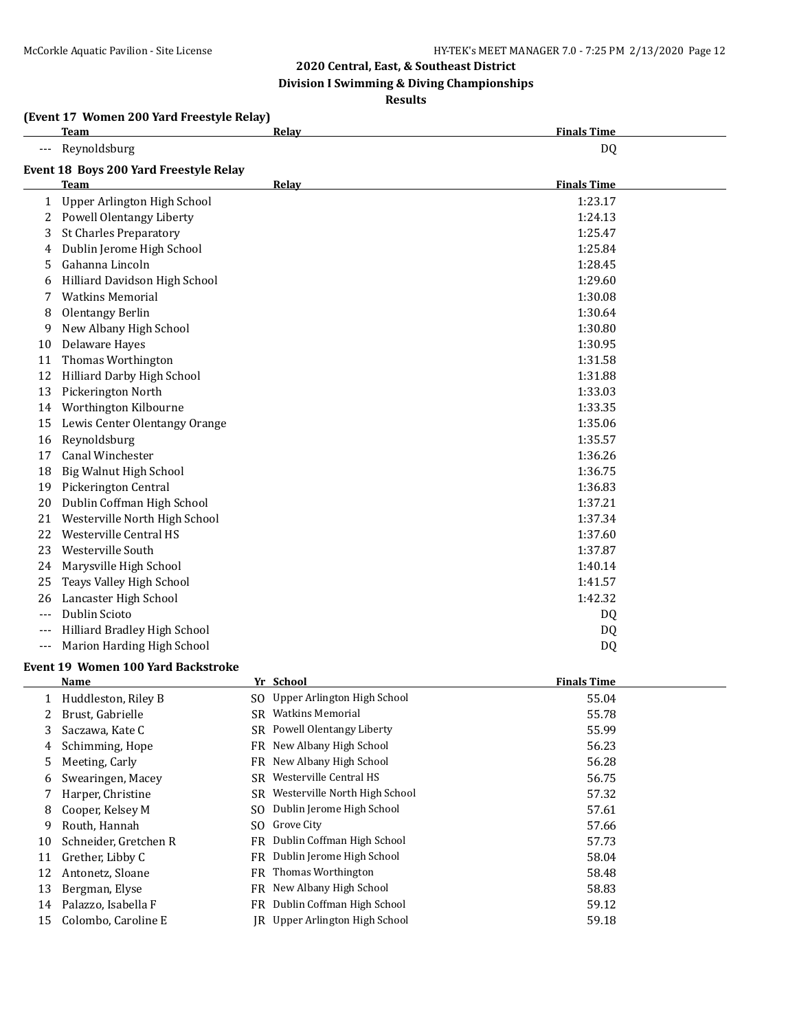**Division I Swimming & Diving Championships**

#### **Results**

#### **(Event 17 Women 200 Yard Freestyle Relay)**

|          | <b>Team</b>                            | Relay | <b>Finals Time</b> |
|----------|----------------------------------------|-------|--------------------|
|          | Reynoldsburg                           |       | DQ                 |
|          | Event 18 Boys 200 Yard Freestyle Relay |       |                    |
|          | <b>Team</b>                            | Relay | <b>Finals Time</b> |
| 1        | Upper Arlington High School            |       | 1:23.17            |
| 2        | <b>Powell Olentangy Liberty</b>        |       | 1:24.13            |
| 3        | <b>St Charles Preparatory</b>          |       | 1:25.47            |
| 4        | Dublin Jerome High School              |       | 1:25.84            |
| 5        | Gahanna Lincoln                        |       | 1:28.45            |
| 6        | Hilliard Davidson High School          |       | 1:29.60            |
| 7        | <b>Watkins Memorial</b>                |       | 1:30.08            |
| 8        | <b>Olentangy Berlin</b>                |       | 1:30.64            |
| 9        | New Albany High School                 |       | 1:30.80            |
| 10       | Delaware Hayes                         |       | 1:30.95            |
| 11       | Thomas Worthington                     |       | 1:31.58            |
| 12       | Hilliard Darby High School             |       | 1:31.88            |
| 13       | Pickerington North                     |       | 1:33.03            |
| 14       | Worthington Kilbourne                  |       | 1:33.35            |
| 15       | Lewis Center Olentangy Orange          |       | 1:35.06            |
| 16       | Reynoldsburg                           |       | 1:35.57            |
| 17       | Canal Winchester                       |       | 1:36.26            |
| 18       | Big Walnut High School                 |       | 1:36.75            |
| 19       | Pickerington Central                   |       | 1:36.83            |
| 20       | Dublin Coffman High School             |       | 1:37.21            |
| 21       | Westerville North High School          |       | 1:37.34            |
| 22       | Westerville Central HS                 |       | 1:37.60            |
| 23       | Westerville South                      |       | 1:37.87            |
| 24       | Marysville High School                 |       | 1:40.14            |
| 25       | Teays Valley High School               |       | 1:41.57            |
| 26       | Lancaster High School                  |       | 1:42.32            |
| ---      | Dublin Scioto                          |       | DQ                 |
| $---$    | Hilliard Bradley High School           |       | DQ                 |
| $\cdots$ | Marion Harding High School             |       | DQ                 |

#### **Event 19 Women 100 Yard Backstroke**

|    | <b>Name</b>           |     | Yr School                      | <b>Finals Time</b> |
|----|-----------------------|-----|--------------------------------|--------------------|
|    | Huddleston, Riley B   |     | SO Upper Arlington High School | 55.04              |
| 2  | Brust, Gabrielle      | SR. | <b>Watkins Memorial</b>        | 55.78              |
| 3  | Saczawa, Kate C       |     | SR Powell Olentangy Liberty    | 55.99              |
| 4  | Schimming, Hope       | FR  | New Albany High School         | 56.23              |
| 5. | Meeting, Carly        | FR  | New Albany High School         | 56.28              |
| 6  | Swearingen, Macey     | SR  | Westerville Central HS         | 56.75              |
|    | Harper, Christine     | SR  | Westerville North High School  | 57.32              |
| 8  | Cooper, Kelsey M      | SO. | Dublin Jerome High School      | 57.61              |
| 9  | Routh, Hannah         | SO. | Grove City                     | 57.66              |
| 10 | Schneider, Gretchen R | FR  | Dublin Coffman High School     | 57.73              |
| 11 | Grether, Libby C      | FR  | Dublin Jerome High School      | 58.04              |
| 12 | Antonetz, Sloane      | FR  | Thomas Worthington             | 58.48              |
| 13 | Bergman, Elyse        | FR  | New Albany High School         | 58.83              |
| 14 | Palazzo, Isabella F   | FR  | Dublin Coffman High School     | 59.12              |
| 15 | Colombo, Caroline E   | IR  | Upper Arlington High School    | 59.18              |
|    |                       |     |                                |                    |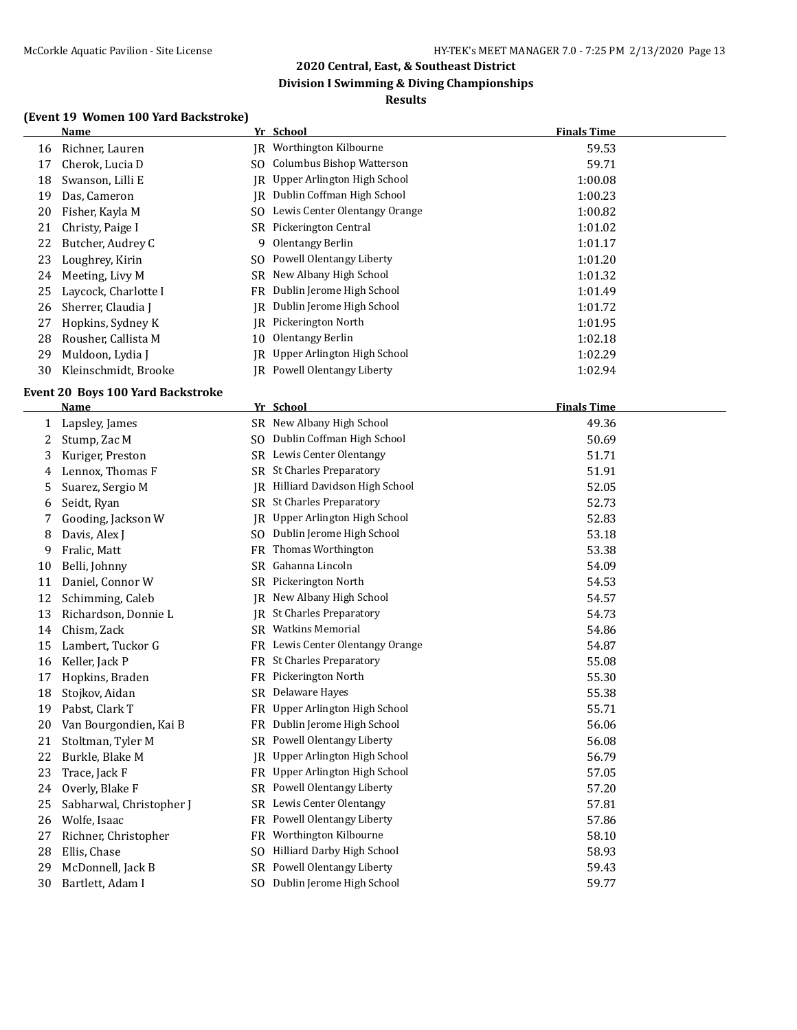## **Division I Swimming & Diving Championships**

#### **Results**

## **(Event 19 Women 100 Yard Backstroke)**

|    | <b>Name</b>          |     | Yr School                             | <b>Finals Time</b> |  |
|----|----------------------|-----|---------------------------------------|--------------------|--|
| 16 | Richner, Lauren      |     | IR Worthington Kilbourne              | 59.53              |  |
| 17 | Cherok, Lucia D      | SO. | Columbus Bishop Watterson             | 59.71              |  |
| 18 | Swanson, Lilli E     |     | <b>IR</b> Upper Arlington High School | 1:00.08            |  |
| 19 | Das, Cameron         | IR  | Dublin Coffman High School            | 1:00.23            |  |
| 20 | Fisher, Kayla M      | SO. | Lewis Center Olentangy Orange         | 1:00.82            |  |
| 21 | Christy, Paige I     |     | SR Pickerington Central               | 1:01.02            |  |
| 22 | Butcher, Audrey C    | 9   | Olentangy Berlin                      | 1:01.17            |  |
| 23 | Loughrey, Kirin      | SO. | Powell Olentangy Liberty              | 1:01.20            |  |
| 24 | Meeting, Livy M      |     | SR New Albany High School             | 1:01.32            |  |
| 25 | Laycock, Charlotte I | FR  | Dublin Jerome High School             | 1:01.49            |  |
| 26 | Sherrer, Claudia J   | IR  | Dublin Jerome High School             | 1:01.72            |  |
| 27 | Hopkins, Sydney K    | IR  | Pickerington North                    | 1:01.95            |  |
| 28 | Rousher, Callista M  | 10  | Olentangy Berlin                      | 1:02.18            |  |
| 29 | Muldoon, Lydia J     | IR  | Upper Arlington High School           | 1:02.29            |  |
| 30 | Kleinschmidt, Brooke |     | IR Powell Olentangy Liberty           | 1:02.94            |  |

#### **Event 20 Boys 100 Yard Backstroke**

|    | <b>Name</b>              |                | Yr School                         | <b>Finals Time</b> |
|----|--------------------------|----------------|-----------------------------------|--------------------|
| 1  | Lapsley, James           |                | SR New Albany High School         | 49.36              |
| 2  | Stump, Zac M             | SO.            | Dublin Coffman High School        | 50.69              |
| 3  | Kuriger, Preston         |                | SR Lewis Center Olentangy         | 51.71              |
| 4  | Lennox, Thomas F         | <b>SR</b>      | <b>St Charles Preparatory</b>     | 51.91              |
| 5  | Suarez, Sergio M         | IR             | Hilliard Davidson High School     | 52.05              |
| 6  | Seidt, Ryan              | SR.            | <b>St Charles Preparatory</b>     | 52.73              |
| 7  | Gooding, Jackson W       | IR             | Upper Arlington High School       | 52.83              |
| 8  | Davis, Alex J            | S <sub>O</sub> | Dublin Jerome High School         | 53.18              |
| 9  | Fralic, Matt             | <b>FR</b>      | Thomas Worthington                | 53.38              |
| 10 | Belli, Johnny            | SR.            | Gahanna Lincoln                   | 54.09              |
| 11 | Daniel, Connor W         | SR             | Pickerington North                | 54.53              |
| 12 | Schimming, Caleb         | IR             | New Albany High School            | 54.57              |
| 13 | Richardson, Donnie L     | IR             | <b>St Charles Preparatory</b>     | 54.73              |
| 14 | Chism, Zack              | SR.            | <b>Watkins Memorial</b>           | 54.86              |
| 15 | Lambert, Tuckor G        | FR.            | Lewis Center Olentangy Orange     | 54.87              |
| 16 | Keller, Jack P           | FR.            | <b>St Charles Preparatory</b>     | 55.08              |
| 17 | Hopkins, Braden          | FR             | Pickerington North                | 55.30              |
| 18 | Stojkov, Aidan           | SR.            | Delaware Hayes                    | 55.38              |
| 19 | Pabst, Clark T           | <b>FR</b>      | Upper Arlington High School       | 55.71              |
| 20 | Van Bourgondien, Kai B   | FR             | Dublin Jerome High School         | 56.06              |
| 21 | Stoltman, Tyler M        | SR.            | Powell Olentangy Liberty          | 56.08              |
| 22 | Burkle, Blake M          | IR             | Upper Arlington High School       | 56.79              |
| 23 | Trace, Jack F            | FR             | Upper Arlington High School       | 57.05              |
| 24 | Overly, Blake F          | SR.            | Powell Olentangy Liberty          | 57.20              |
| 25 | Sabharwal, Christopher J | <b>SR</b>      | Lewis Center Olentangy            | 57.81              |
| 26 | Wolfe, Isaac             | FR.            | Powell Olentangy Liberty          | 57.86              |
| 27 | Richner, Christopher     | FR             | Worthington Kilbourne             | 58.10              |
| 28 | Ellis, Chase             | S <sub>O</sub> | <b>Hilliard Darby High School</b> | 58.93              |
| 29 | McDonnell, Jack B        | SR.            | Powell Olentangy Liberty          | 59.43              |
| 30 | Bartlett, Adam I         | SO.            | Dublin Jerome High School         | 59.77              |
|    |                          |                |                                   |                    |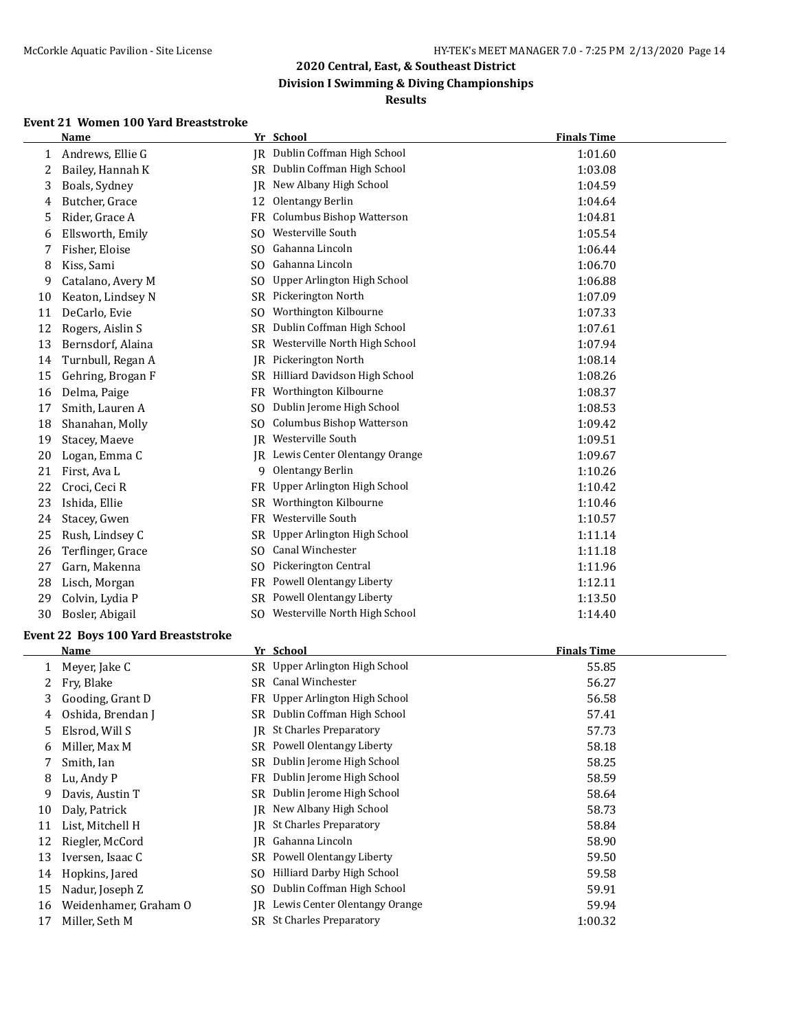**Division I Swimming & Diving Championships**

#### **Results**

## **Event 21 Women 100 Yard Breaststroke**

|    | Name              |                | Yr School                        | <b>Finals Time</b> |  |
|----|-------------------|----------------|----------------------------------|--------------------|--|
| 1  | Andrews, Ellie G  | IR             | Dublin Coffman High School       | 1:01.60            |  |
| 2  | Bailey, Hannah K  |                | SR Dublin Coffman High School    | 1:03.08            |  |
| 3  | Boals, Sydney     | IR             | New Albany High School           | 1:04.59            |  |
| 4  | Butcher, Grace    | 12             | Olentangy Berlin                 | 1:04.64            |  |
| 5  | Rider, Grace A    | FR             | Columbus Bishop Watterson        | 1:04.81            |  |
| 6  | Ellsworth, Emily  | SO.            | Westerville South                | 1:05.54            |  |
| 7  | Fisher, Eloise    | SO.            | Gahanna Lincoln                  | 1:06.44            |  |
| 8  | Kiss, Sami        | SO.            | Gahanna Lincoln                  | 1:06.70            |  |
| 9  | Catalano, Avery M | S <sub>0</sub> | Upper Arlington High School      | 1:06.88            |  |
| 10 | Keaton, Lindsey N | SR             | Pickerington North               | 1:07.09            |  |
| 11 | DeCarlo, Evie     | S <sub>0</sub> | Worthington Kilbourne            | 1:07.33            |  |
| 12 | Rogers, Aislin S  | SR             | Dublin Coffman High School       | 1:07.61            |  |
| 13 | Bernsdorf, Alaina | SR             | Westerville North High School    | 1:07.94            |  |
| 14 | Turnbull, Regan A | IR.            | Pickerington North               | 1:08.14            |  |
| 15 | Gehring, Brogan F | <b>SR</b>      | Hilliard Davidson High School    | 1:08.26            |  |
| 16 | Delma, Paige      | FR             | Worthington Kilbourne            | 1:08.37            |  |
| 17 | Smith, Lauren A   | SO.            | Dublin Jerome High School        | 1:08.53            |  |
| 18 | Shanahan, Molly   | SO.            | <b>Columbus Bishop Watterson</b> | 1:09.42            |  |
| 19 | Stacey, Maeve     | IR             | Westerville South                | 1:09.51            |  |
| 20 | Logan, Emma C     | IR.            | Lewis Center Olentangy Orange    | 1:09.67            |  |
| 21 | First, Ava L      | 9              | Olentangy Berlin                 | 1:10.26            |  |
| 22 | Croci, Ceci R     | <b>FR</b>      | Upper Arlington High School      | 1:10.42            |  |
| 23 | Ishida, Ellie     | SR             | Worthington Kilbourne            | 1:10.46            |  |
| 24 | Stacey, Gwen      | FR.            | Westerville South                | 1:10.57            |  |
| 25 | Rush, Lindsey C   | <b>SR</b>      | Upper Arlington High School      | 1:11.14            |  |
| 26 | Terflinger, Grace | SO.            | Canal Winchester                 | 1:11.18            |  |
| 27 | Garn, Makenna     | S <sub>0</sub> | Pickerington Central             | 1:11.96            |  |
| 28 | Lisch, Morgan     | FR.            | Powell Olentangy Liberty         | 1:12.11            |  |
| 29 | Colvin, Lydia P   | SR             | Powell Olentangy Liberty         | 1:13.50            |  |
| 30 | Bosler, Abigail   | SO.            | Westerville North High School    | 1:14.40            |  |

#### **Event 22 Boys 100 Yard Breaststroke**

|    | Name                  |     | Yr School                        | <b>Finals Time</b> |  |
|----|-----------------------|-----|----------------------------------|--------------------|--|
|    | Meyer, Jake C         |     | SR Upper Arlington High School   | 55.85              |  |
|    | Fry, Blake            | SR  | Canal Winchester                 | 56.27              |  |
| 3  | Gooding, Grant D      | FR  | Upper Arlington High School      | 56.58              |  |
| 4  | Oshida, Brendan J     |     | SR Dublin Coffman High School    | 57.41              |  |
| 5  | Elsrod, Will S        | IR  | <b>St Charles Preparatory</b>    | 57.73              |  |
| 6  | Miller, Max M         | SR  | Powell Olentangy Liberty         | 58.18              |  |
| 7  | Smith, Ian            | SR  | Dublin Jerome High School        | 58.25              |  |
| 8  | Lu, Andy P            |     | FR Dublin Jerome High School     | 58.59              |  |
| 9  | Davis, Austin T       |     | SR Dublin Jerome High School     | 58.64              |  |
| 10 | Daly, Patrick         | IR. | New Albany High School           | 58.73              |  |
| 11 | List, Mitchell H      | IR  | <b>St Charles Preparatory</b>    | 58.84              |  |
| 12 | Riegler, McCord       | IR  | Gahanna Lincoln                  | 58.90              |  |
| 13 | Iversen, Isaac C      | SR  | Powell Olentangy Liberty         | 59.50              |  |
| 14 | Hopkins, Jared        | SO. | Hilliard Darby High School       | 59.58              |  |
| 15 | Nadur, Joseph Z       | SO. | Dublin Coffman High School       | 59.91              |  |
| 16 | Weidenhamer, Graham O | IR  | Lewis Center Olentangy Orange    | 59.94              |  |
| 17 | Miller, Seth M        |     | <b>SR</b> St Charles Preparatory | 1:00.32            |  |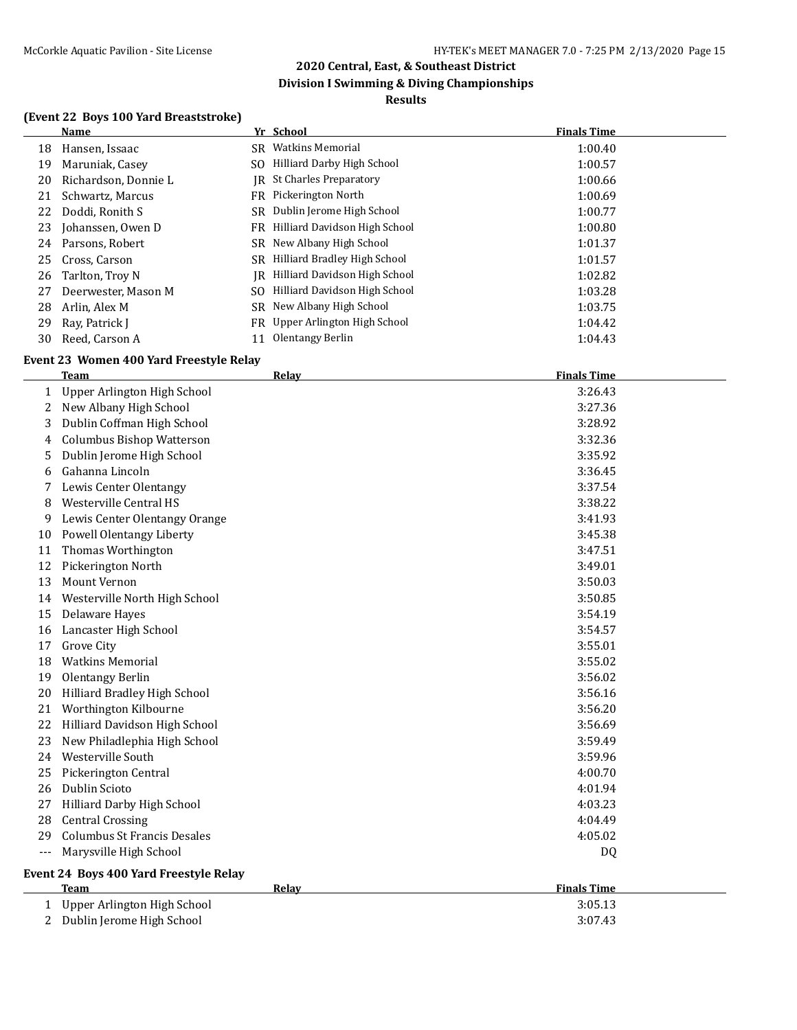## **Division I Swimming & Diving Championships**

## **Results**

## **(Event 22 Boys 100 Yard Breaststroke)**

|       | <b>Name</b>                             | Yr School                        | <b>Finals Time</b> |
|-------|-----------------------------------------|----------------------------------|--------------------|
| 18    | Hansen, Issaac                          | SR Watkins Memorial              | 1:00.40            |
| 19    | Maruniak, Casey                         | SO Hilliard Darby High School    | 1:00.57            |
| 20    | Richardson, Donnie L                    | JR St Charles Preparatory        | 1:00.66            |
| 21    | Schwartz, Marcus                        | FR Pickerington North            | 1:00.69            |
| 22    | Doddi, Ronith S                         | SR Dublin Jerome High School     | 1:00.77            |
| 23    | Johanssen, Owen D                       | FR Hilliard Davidson High School | 1:00.80            |
| 24    | Parsons, Robert                         | SR New Albany High School        | 1:01.37            |
| 25    | Cross, Carson                           | SR Hilliard Bradley High School  | 1:01.57            |
| 26    | Tarlton, Troy N                         | JR Hilliard Davidson High School | 1:02.82            |
| 27    | Deerwester, Mason M                     | SO Hilliard Davidson High School | 1:03.28            |
| 28    | Arlin, Alex M                           | SR New Albany High School        | 1:03.75            |
| 29    | Ray, Patrick J                          | FR Upper Arlington High School   | 1:04.42            |
| 30    | Reed, Carson A                          | 11 Olentangy Berlin              | 1:04.43            |
|       | Event 23 Women 400 Yard Freestyle Relay |                                  |                    |
|       | Team                                    | <b>Relay</b>                     | <b>Finals Time</b> |
| 1     | Upper Arlington High School             |                                  | 3:26.43            |
| 2     | New Albany High School                  |                                  | 3:27.36            |
| 3     | Dublin Coffman High School              |                                  | 3:28.92            |
| 4     | <b>Columbus Bishop Watterson</b>        |                                  | 3:32.36            |
| 5     | Dublin Jerome High School               |                                  | 3:35.92            |
| 6     | Gahanna Lincoln                         |                                  | 3:36.45            |
| 7     | Lewis Center Olentangy                  |                                  | 3:37.54            |
| 8     | Westerville Central HS                  |                                  | 3:38.22            |
| 9     | Lewis Center Olentangy Orange           |                                  | 3:41.93            |
| 10    | Powell Olentangy Liberty                |                                  | 3:45.38            |
| 11    | Thomas Worthington                      |                                  | 3:47.51            |
| 12    | Pickerington North                      |                                  | 3:49.01            |
| 13    | Mount Vernon                            |                                  | 3:50.03            |
| 14    | Westerville North High School           |                                  | 3:50.85            |
| 15    | Delaware Hayes                          |                                  | 3:54.19            |
| 16    | Lancaster High School                   |                                  | 3:54.57            |
| 17    | Grove City                              |                                  | 3:55.01            |
| 18    | <b>Watkins Memorial</b>                 |                                  | 3:55.02            |
| 19    | Olentangy Berlin                        |                                  | 3:56.02            |
| 20    | Hilliard Bradley High School            |                                  | 3:56.16            |
|       | Worthington Kilbourne                   |                                  | 3:56.20            |
| 22    | Hilliard Davidson High School           |                                  | 3:56.69            |
| 23    | New Philadlephia High School            |                                  | 3:59.49            |
| 24    | Westerville South                       |                                  | 3:59.96            |
| 25    | Pickerington Central                    |                                  | 4:00.70            |
| 26    | Dublin Scioto                           |                                  | 4:01.94            |
| 27    | Hilliard Darby High School              |                                  | 4:03.23            |
| 28    | <b>Central Crossing</b>                 |                                  | 4:04.49            |
| 29    | <b>Columbus St Francis Desales</b>      |                                  | 4:05.02            |
| $---$ | Marysville High School                  |                                  | DQ                 |
|       | Event 24 Boys 400 Yard Freestyle Relay  |                                  |                    |
|       | <b>Team</b>                             | Relay                            | <b>Finals Time</b> |
| 1     | Upper Arlington High School             |                                  | 3:05.13            |
| 2     | Dublin Jerome High School               |                                  | 3:07.43            |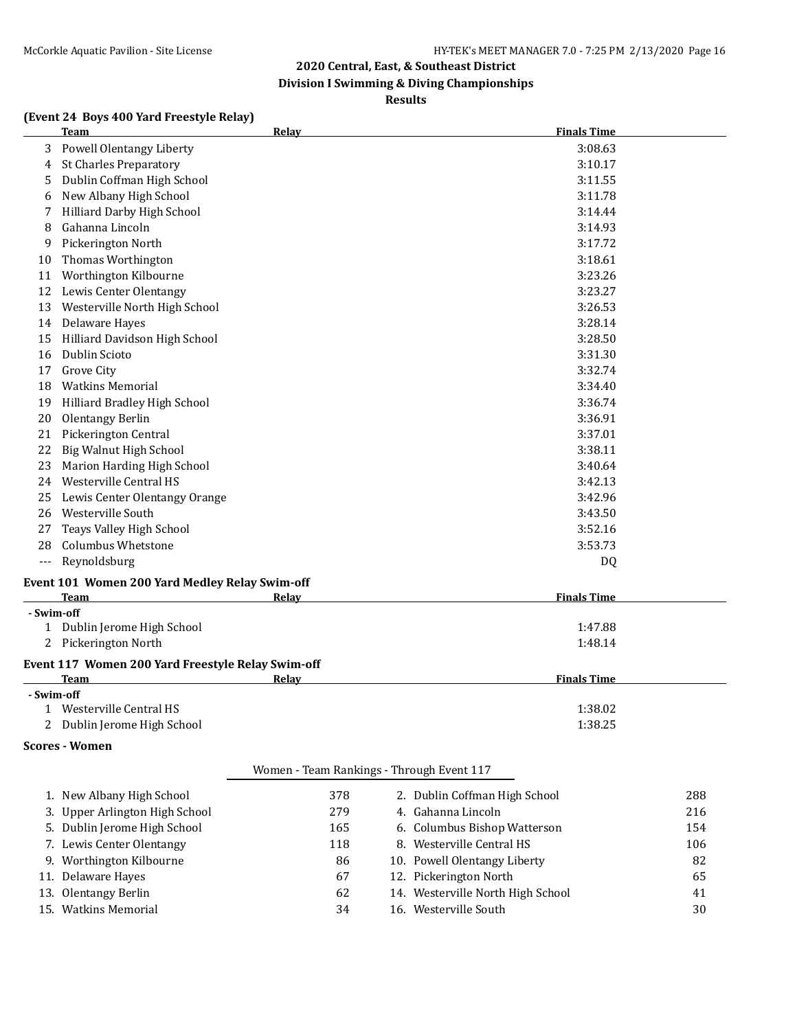**Division I Swimming & Diving Championships**

#### **Results**

#### **(Event 24 Boys 400 Yard Freestyle Relay)**

|            | <b>Team</b>                                       | Relay        | <b>Finals Time</b> |
|------------|---------------------------------------------------|--------------|--------------------|
| 3          | <b>Powell Olentangy Liberty</b>                   |              | 3:08.63            |
| 4          | <b>St Charles Preparatory</b>                     |              | 3:10.17            |
| 5          | Dublin Coffman High School                        |              | 3:11.55            |
| 6          | New Albany High School                            |              | 3:11.78            |
|            | Hilliard Darby High School                        |              | 3:14.44            |
| 8          | Gahanna Lincoln                                   |              | 3:14.93            |
| 9          | Pickerington North                                |              | 3:17.72            |
| 10         | Thomas Worthington                                |              | 3:18.61            |
| 11         | Worthington Kilbourne                             |              | 3:23.26            |
| 12         | Lewis Center Olentangy                            |              | 3:23.27            |
| 13         | Westerville North High School                     |              | 3:26.53            |
| 14         | Delaware Hayes                                    |              | 3:28.14            |
| 15         | Hilliard Davidson High School                     |              | 3:28.50            |
| 16         | Dublin Scioto                                     |              | 3:31.30            |
| 17         | Grove City                                        |              | 3:32.74            |
| 18         | <b>Watkins Memorial</b>                           |              | 3:34.40            |
| 19         | Hilliard Bradley High School                      |              | 3:36.74            |
| 20         | Olentangy Berlin                                  |              | 3:36.91            |
| 21         | Pickerington Central                              |              | 3:37.01            |
| 22         | Big Walnut High School                            |              | 3:38.11            |
| 23         | Marion Harding High School                        |              | 3:40.64            |
| 24         | Westerville Central HS                            |              | 3:42.13            |
| 25         | Lewis Center Olentangy Orange                     |              | 3:42.96            |
| 26         | Westerville South                                 |              | 3:43.50            |
| 27         | Teays Valley High School                          |              | 3:52.16            |
| 28         | <b>Columbus Whetstone</b>                         |              | 3:53.73            |
| ---        | Reynoldsburg                                      |              | DQ                 |
|            | Event 101 Women 200 Yard Medley Relay Swim-off    |              |                    |
|            | <b>Team</b>                                       | Relay        | <b>Finals Time</b> |
| - Swim-off |                                                   |              |                    |
|            | 1 Dublin Jerome High School                       |              | 1:47.88            |
| 2          | Pickerington North                                |              | 1:48.14            |
|            | Event 117 Women 200 Yard Freestyle Relay Swim-off |              |                    |
|            | <b>Team</b>                                       | <b>Relay</b> | <b>Finals Time</b> |

 **- Swim-off** 1 Westerville Central HS 1:38.02 2 Dublin Jerome High School 1:38.25

#### **Scores - Women**

|                                | Women - Team Rankings - Through Event 117 |                                   |     |
|--------------------------------|-------------------------------------------|-----------------------------------|-----|
| 1. New Albany High School      | 378                                       | 2. Dublin Coffman High School     | 288 |
| 3. Upper Arlington High School | 279                                       | 4. Gahanna Lincoln                | 216 |
| 5. Dublin Jerome High School   | 165                                       | 6. Columbus Bishop Watterson      | 154 |
| 7. Lewis Center Olentangy      | 118                                       | 8. Westerville Central HS         | 106 |
| 9. Worthington Kilbourne       | 86                                        | 10. Powell Olentangy Liberty      | 82  |
| 11. Delaware Hayes             | 67                                        | 12. Pickerington North            | 65  |
| 13. Olentangy Berlin           | 62                                        | 14. Westerville North High School | 41  |
| 15. Watkins Memorial           | 34                                        | 16. Westerville South             | 30  |